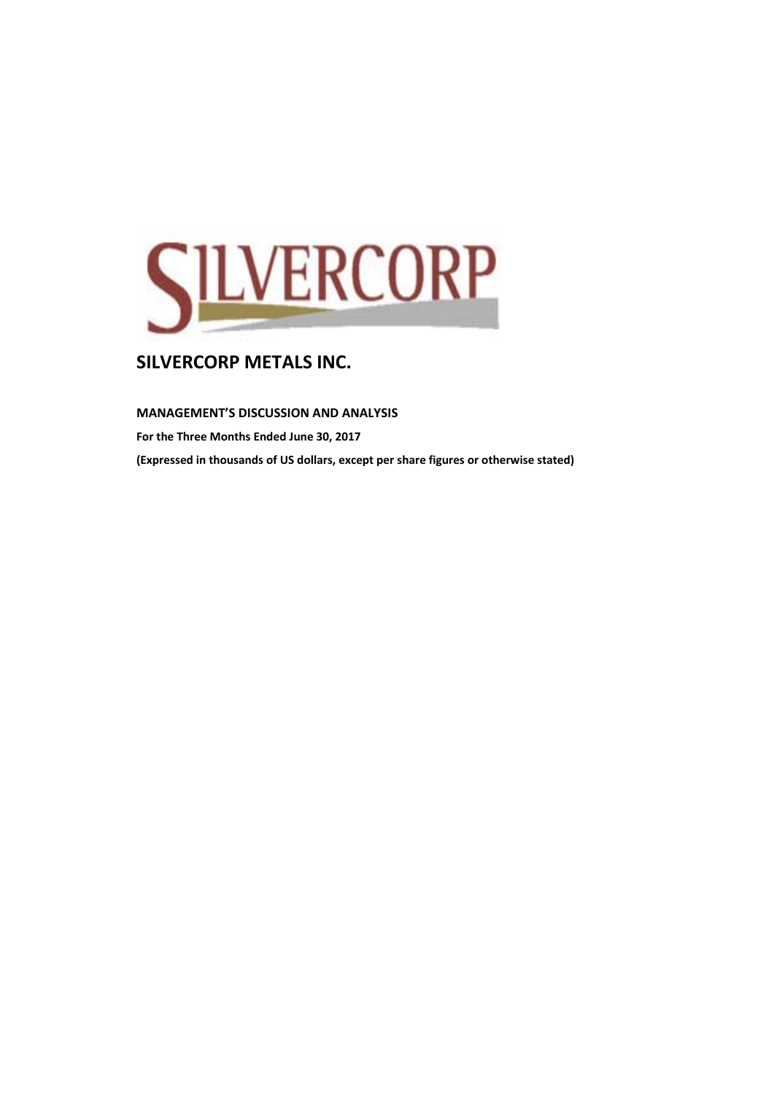

## **MANAGEMENT'S DISCUSSION AND ANALYSIS**

**For the Three Months Ended June 30, 2017 (Expressed in thousands of US dollars, except per share figures or otherwise stated)**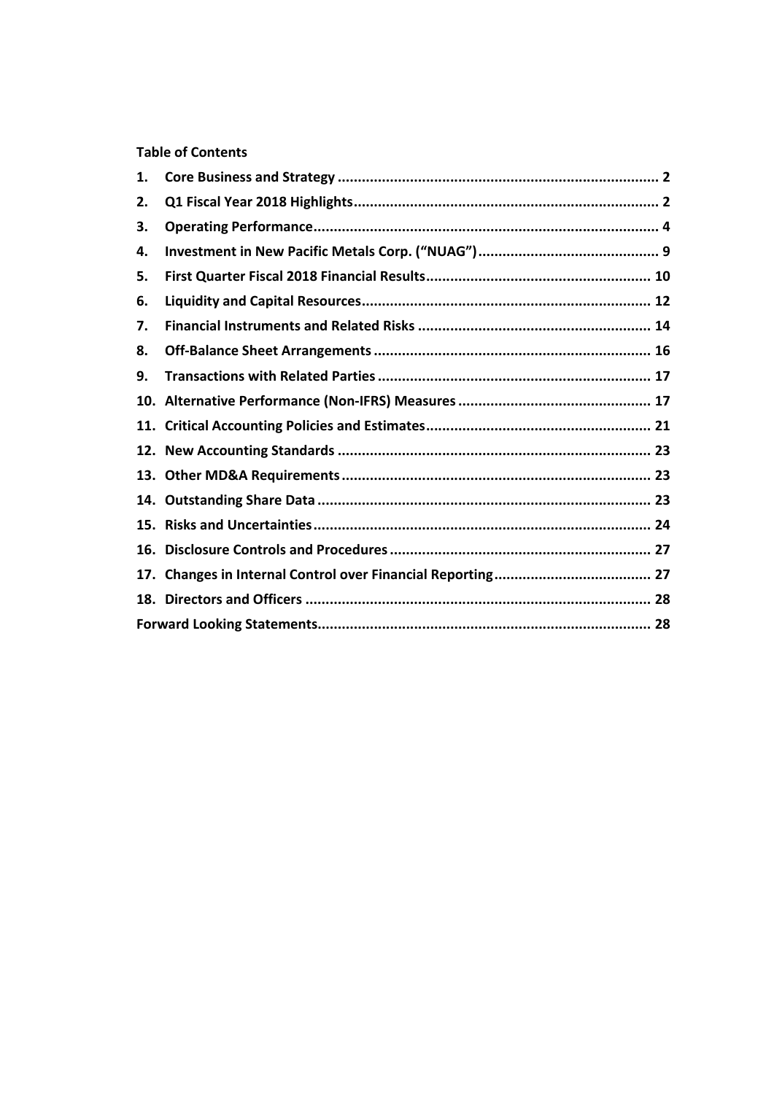# **Table of Contents**

| 1. |  |
|----|--|
| 2. |  |
| З. |  |
| 4. |  |
| 5. |  |
| 6. |  |
| 7. |  |
| 8. |  |
| 9. |  |
|    |  |
|    |  |
|    |  |
|    |  |
|    |  |
|    |  |
|    |  |
|    |  |
|    |  |
|    |  |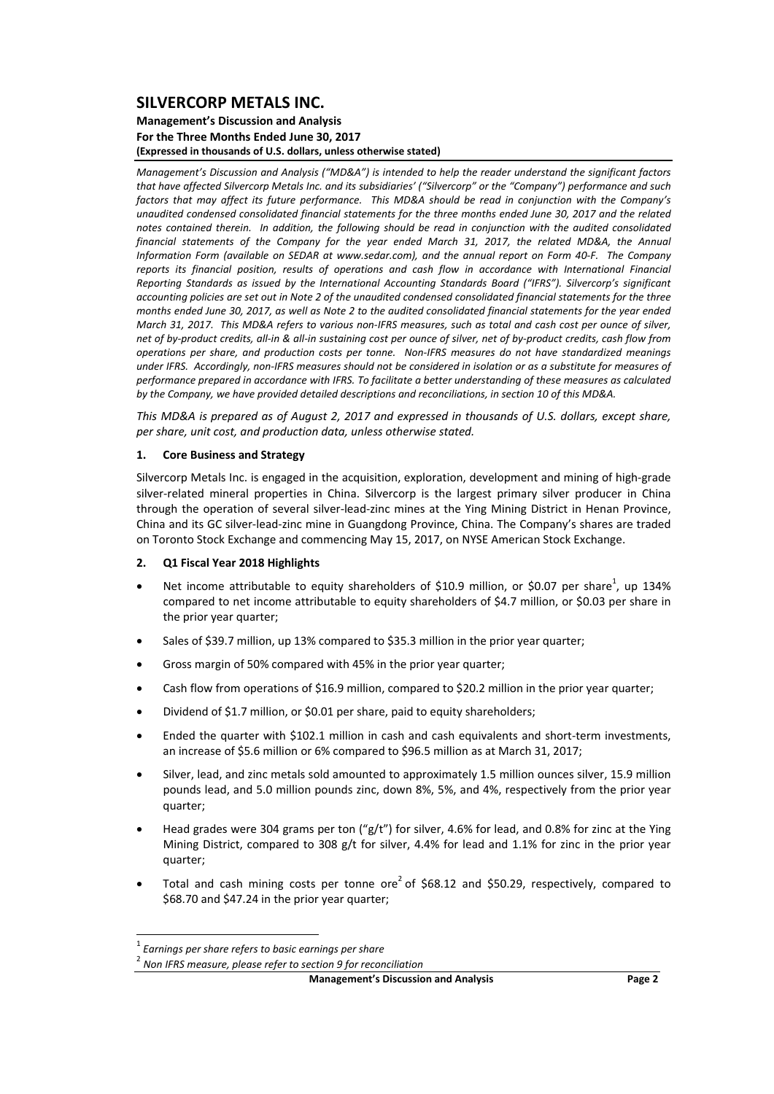#### **Management's Discussion and Analysis For the Three Months Ended June 30, 2017 (Expressed in thousands of U.S. dollars, unless otherwise stated)**

*Management's Discussion and Analysis ("MD&A") is intended to help the reader understand the significant factors* that have affected Silvercorp Metals Inc. and its subsidiaries' ("Silvercorp" or the "Company") performance and such factors that may affect its future performance. This MD&A should be read in conjunction with the Company's *unaudited condensed consolidated financial statements for the three months ended June 30, 2017 and the related* notes contained therein. In addition, the following should be read in conjunction with the audited consolidated *financial statements of the Company for the year ended March 31, 2017, the related MD&A, the Annual* Information Form (available on SEDAR at www.sedar.com), and the annual report on Form 40-F. The Company *reports its financial position, results of operations and cash flow in accordance with International Financial Reporting Standards as issued by the International Accounting Standards Board ("IFRS"). Silvercorp's significant* accounting policies are set out in Note 2 of the unaudited condensed consolidated financial statements for the three months ended June 30, 2017, as well as Note 2 to the audited consolidated financial statements for the year ended March 31, 2017. This MD&A refers to various non-IFRS measures, such as total and cash cost per ounce of silver. net of by-product credits, all-in & all-in sustaining cost per ounce of silver, net of by-product credits, cash flow from operations per share, and production costs per tonne. Non-IFRS measures do not have standardized meanings under IFRS. Accordingly, non-IFRS measures should not be considered in isolation or as a substitute for measures of performance prepared in accordance with IFRS. To facilitate a better understanding of these measures as calculated by the Company, we have provided detailed descriptions and reconciliations, in section 10 of this MD&A.

This MD&A is prepared as of August 2, 2017 and expressed in thousands of U.S. dollars, except share, *per share, unit cost, and production data, unless otherwise stated.*

#### **1. Core Business and Strategy**

Silvercorp Metals Inc. is engaged in the acquisition, exploration, development and mining of high‐grade silver-related mineral properties in China. Silvercorp is the largest primary silver producer in China through the operation of several silver‐lead‐zinc mines at the Ying Mining District in Henan Province, China and its GC silver‐lead‐zinc mine in Guangdong Province, China. The Company's shares are traded on Toronto Stock Exchange and commencing May 15, 2017, on NYSE American Stock Exchange.

#### **2. Q1 Fiscal Year 2018 Highlights**

- Net income attributable to equity shareholders of \$10.9 million, or \$0.07 per share<sup>1</sup>, up 134% compared to net income attributable to equity shareholders of \$4.7 million, or \$0.03 per share in the prior year quarter;
- Sales of \$39.7 million, up 13% compared to \$35.3 million in the prior year quarter;
- Gross margin of 50% compared with 45% in the prior year quarter;
- Cash flow from operations of \$16.9 million, compared to \$20.2 million in the prior year quarter;
- Dividend of \$1.7 million, or \$0.01 per share, paid to equity shareholders;
- Ended the quarter with \$102.1 million in cash and cash equivalents and short-term investments, an increase of \$5.6 million or 6% compared to \$96.5 million as at March 31, 2017;
- Silver, lead, and zinc metals sold amounted to approximately 1.5 million ounces silver, 15.9 million pounds lead, and 5.0 million pounds zinc, down 8%, 5%, and 4%, respectively from the prior year quarter;
- Head grades were 304 grams per ton ("g/t") for silver, 4.6% for lead, and 0.8% for zinc at the Ying Mining District, compared to 308 g/t for silver, 4.4% for lead and 1.1% for zinc in the prior year quarter;
- $\bullet$  Total and cash mining costs per tonne ore<sup>2</sup> of \$68.12 and \$50.29, respectively, compared to \$68.70 and \$47.24 in the prior year quarter;

 <sup>1</sup> *Earnings per share refers to basic earnings per share*

<sup>2</sup> *Non IFRS measure, please refer to section 9 for reconciliation*

**Management's Discussion and Analysis Page 2**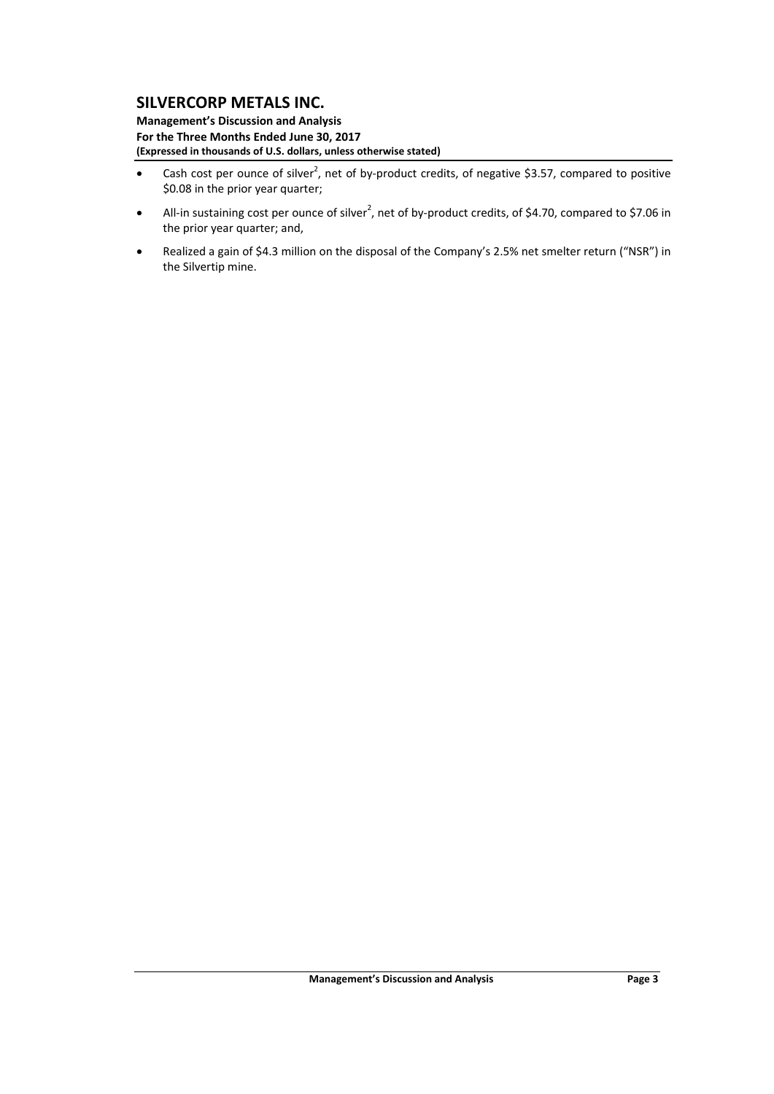**Management's Discussion and Analysis For the Three Months Ended June 30, 2017 (Expressed in thousands of U.S. dollars, unless otherwise stated)**

- Cash cost per ounce of silver<sup>2</sup>, net of by-product credits, of negative \$3.57, compared to positive \$0.08 in the prior year quarter;
- All-in sustaining cost per ounce of silver<sup>2</sup>, net of by-product credits, of \$4.70, compared to \$7.06 in the prior year quarter; and,
- Realized a gain of \$4.3 million on the disposal of the Company's 2.5% net smelter return ("NSR") in the Silvertip mine.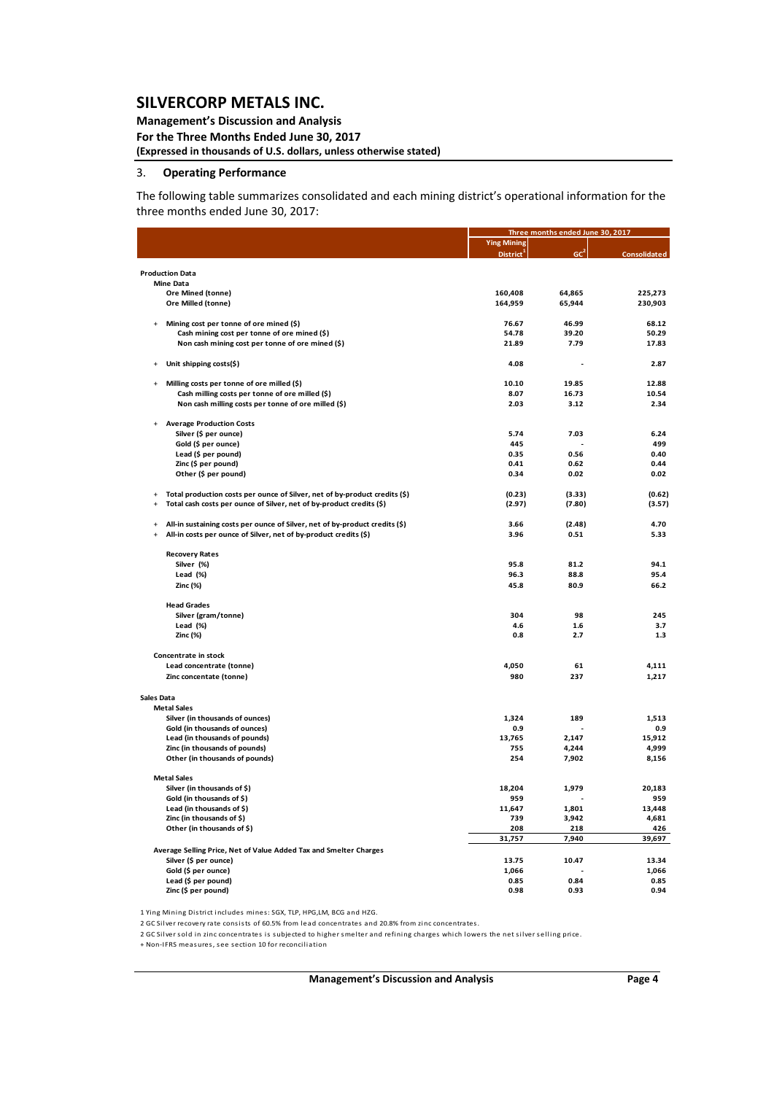#### **Management's Discussion and Analysis For the Three Months Ended June 30, 2017 (Expressed in thousands of U.S. dollars, unless otherwise stated)**

#### 3. **Operating Performance**

The following table summarizes consolidated and each mining district's operational information for the three months ended June 30, 2017:

|                                  |                                                                             |                       | Three months ended June 30, 2017 |                     |
|----------------------------------|-----------------------------------------------------------------------------|-----------------------|----------------------------------|---------------------|
|                                  |                                                                             | <b>Ying Mining</b>    | GC <sup>2</sup>                  |                     |
|                                  |                                                                             | District <sup>1</sup> |                                  | <b>Consolidated</b> |
| <b>Production Data</b>           |                                                                             |                       |                                  |                     |
| <b>Mine Data</b>                 |                                                                             |                       |                                  |                     |
|                                  | Ore Mined (tonne)<br>Ore Milled (tonne)                                     | 160,408<br>164,959    | 64,865<br>65,944                 | 225,273<br>230,903  |
|                                  |                                                                             |                       |                                  |                     |
| $\ddot{}$                        | Mining cost per tonne of ore mined (\$)                                     | 76.67                 | 46.99                            | 68.12               |
|                                  | Cash mining cost per tonne of ore mined (\$)                                | 54.78                 | 39.20                            | 50.29               |
|                                  | Non cash mining cost per tonne of ore mined (\$)                            | 21.89                 | 7.79                             | 17.83               |
|                                  | Unit shipping costs(\$)                                                     | 4.08                  |                                  | 2.87                |
|                                  | Milling costs per tonne of ore milled (\$)                                  | 10.10                 | 19.85                            | 12.88               |
|                                  | Cash milling costs per tonne of ore milled (\$)                             | 8.07                  | 16.73                            | 10.54               |
|                                  | Non cash milling costs per tonne of ore milled (\$)                         | 2.03                  | 3.12                             | 2.34                |
|                                  |                                                                             |                       |                                  |                     |
|                                  | <b>Average Production Costs</b>                                             |                       |                                  |                     |
|                                  | Silver (\$ per ounce)<br>Gold (\$ per ounce)                                | 5.74<br>445           | 7.03                             | 6.24<br>499         |
|                                  | Lead (\$ per pound)                                                         | 0.35                  | 0.56                             | 0.40                |
|                                  | Zinc (\$ per pound)                                                         | 0.41                  | 0.62                             | 0.44                |
|                                  | Other (\$ per pound)                                                        | 0.34                  | 0.02                             | 0.02                |
|                                  |                                                                             |                       |                                  |                     |
| $+$                              | Total production costs per ounce of Silver, net of by-product credits (\$)  | (0.23)                | (3.33)                           | (0.62)              |
| $\ddot{\phantom{1}}$             | Total cash costs per ounce of Silver, net of by-product credits (\$)        | (2.97)                | (7.80)                           | (3.57)              |
|                                  | All-in sustaining costs per ounce of Silver, net of by-product credits (\$) | 3.66                  | (2.48)                           | 4.70                |
| $\overline{+}$                   | All-in costs per ounce of Silver, net of by-product credits (\$)            | 3.96                  | 0.51                             | 5.33                |
|                                  |                                                                             |                       |                                  |                     |
|                                  | <b>Recovery Rates</b>                                                       |                       |                                  |                     |
|                                  | Silver (%)                                                                  | 95.8                  | 81.2                             | 94.1                |
|                                  | Lead (%)                                                                    | 96.3                  | 88.8                             | 95.4                |
|                                  | Zinc (%)                                                                    | 45.8                  | 80.9                             | 66.2                |
|                                  | <b>Head Grades</b>                                                          |                       |                                  |                     |
|                                  | Silver (gram/tonne)                                                         | 304                   | 98                               | 245                 |
|                                  | Lead (%)                                                                    | 4.6                   | 1.6                              | 3.7                 |
|                                  | Zinc (%)                                                                    | 0.8                   | 2.7                              | 1.3                 |
|                                  | Concentrate in stock                                                        |                       |                                  |                     |
|                                  | Lead concentrate (tonne)                                                    | 4,050                 | 61                               | 4,111               |
|                                  | Zinc concentate (tonne)                                                     | 980                   | 237                              | 1,217               |
|                                  |                                                                             |                       |                                  |                     |
| Sales Data<br><b>Metal Sales</b> |                                                                             |                       |                                  |                     |
|                                  | Silver (in thousands of ounces)                                             | 1,324                 | 189                              | 1,513               |
|                                  | Gold (in thousands of ounces)                                               | 0.9                   |                                  | 0.9                 |
|                                  | Lead (in thousands of pounds)                                               | 13,765                | 2,147                            | 15,912              |
|                                  | Zinc (in thousands of pounds)                                               | 755                   | 4,244                            | 4,999               |
|                                  | Other (in thousands of pounds)                                              | 254                   | 7,902                            | 8,156               |
| <b>Metal Sales</b>               |                                                                             |                       |                                  |                     |
|                                  | Silver (in thousands of \$)                                                 | 18,204                | 1,979                            | 20,183              |
|                                  | Gold (in thousands of \$)                                                   | 959                   |                                  | 959                 |
|                                  | Lead (in thousands of \$)                                                   | 11,647                | 1,801                            | 13,448              |
|                                  | Zinc (in thousands of \$)                                                   | 739                   | 3,942                            | 4,681               |
|                                  | Other (in thousands of \$)                                                  | 208                   | 218                              | 426                 |
|                                  |                                                                             | 31,757                | 7,940                            | 39,697              |
|                                  | Average Selling Price, Net of Value Added Tax and Smelter Charges           |                       |                                  |                     |
|                                  | Silver (\$ per ounce)                                                       | 13.75                 | 10.47                            | 13.34               |
|                                  | Gold (\$ per ounce)<br>Lead (\$ per pound)                                  | 1,066<br>0.85         | 0.84                             | 1,066<br>0.85       |
|                                  | Zinc (\$ per pound)                                                         | 0.98                  | 0.93                             | 0.94                |
|                                  |                                                                             |                       |                                  |                     |

1 Ying Mining District includes mines: SGX, TLP, HPG,LM, BCG and HZG.

2 GC Silver recovery rate consists of 60.5% from lead concentrates and 20.8% from zinc concentrates.

2 GC Silver sold in zinc concentrates is subjected to higher smelter and refining charges which lowers the net silver selling price.

+ Non‐IFRS mea s ures, see section 10 for reconcilia tion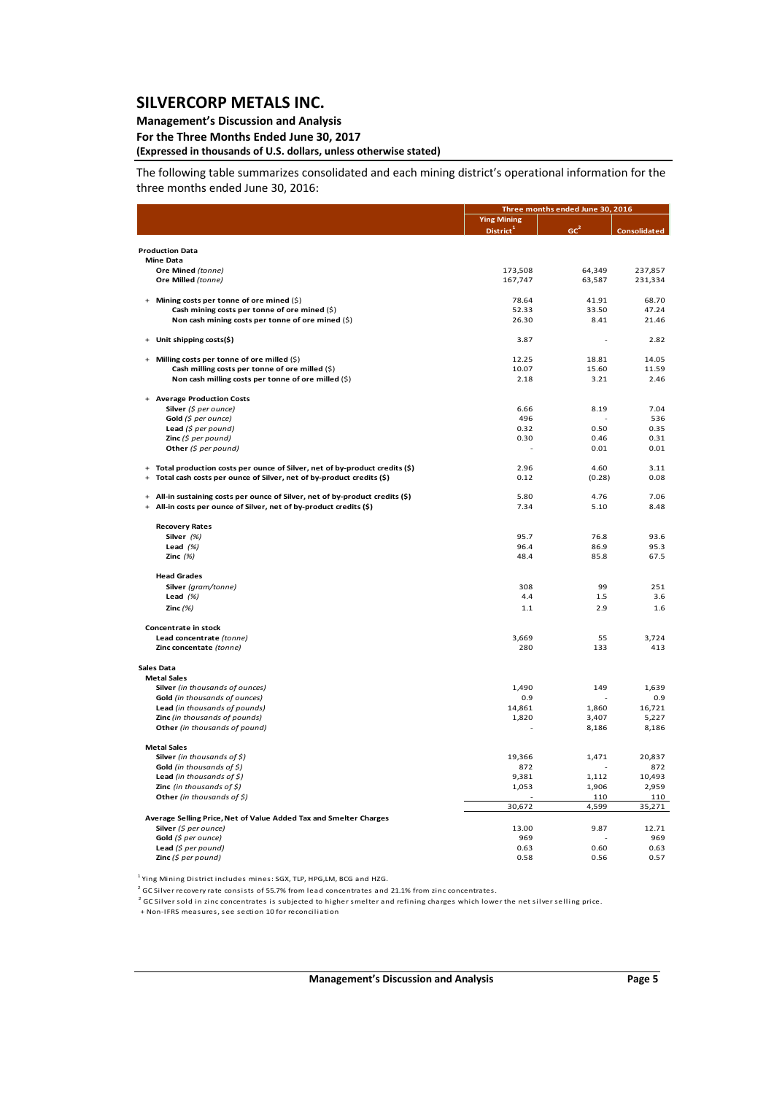## **Management's Discussion and Analysis**

**For the Three Months Ended June 30, 2017**

## **(Expressed in thousands of U.S. dollars, unless otherwise stated)**

The following table summarizes consolidated and each mining district's operational information for the three months ended June 30, 2016:

|                                                                                         | Three months ended June 30, 2016            |                 |                     |
|-----------------------------------------------------------------------------------------|---------------------------------------------|-----------------|---------------------|
|                                                                                         | <b>Ying Mining</b><br>District <sup>1</sup> | GC <sup>2</sup> | <b>Consolidated</b> |
| <b>Production Data</b>                                                                  |                                             |                 |                     |
| <b>Mine Data</b>                                                                        |                                             |                 |                     |
| Ore Mined (tonne)                                                                       | 173,508                                     | 64,349          | 237,857             |
| Ore Milled (tonne)                                                                      | 167,747                                     | 63,587          | 231,334             |
| Mining costs per tonne of ore mined $(\xi)$                                             | 78.64                                       | 41.91           | 68.70               |
| Cash mining costs per tonne of ore mined (\$)                                           | 52.33                                       | 33.50           | 47.24               |
| Non cash mining costs per tonne of ore mined (\$)                                       | 26.30                                       | 8.41            | 21.46               |
| Unit shipping costs(\$)                                                                 | 3.87                                        |                 | 2.82                |
| Milling costs per tonne of ore milled (\$)<br>$+$                                       | 12.25                                       | 18.81           | 14.05               |
| Cash milling costs per tonne of ore milled (\$)                                         | 10.07                                       | 15.60           | 11.59               |
| Non cash milling costs per tonne of ore milled (\$)                                     | 2.18                                        | 3.21            | 2.46                |
| + Average Production Costs                                                              |                                             |                 |                     |
| Silver (\$ per ounce)                                                                   | 6.66                                        | 8.19            | 7.04                |
| Gold (\$ per ounce)                                                                     | 496                                         |                 | 536                 |
| Lead $(5$ per pound)                                                                    | 0.32                                        | 0.50            | 0.35                |
| <b>Zinc</b> $(S$ per pound)                                                             | 0.30                                        | 0.46            | 0.31                |
| Other $(5$ per pound)                                                                   |                                             | 0.01            | 0.01                |
| Total production costs per ounce of Silver, net of by-product credits (\$)<br>$\ddot{}$ | 2.96                                        | 4.60            | 3.11                |
| Total cash costs per ounce of Silver, net of by-product credits (\$)<br>$\ddot{}$       | 0.12                                        | (0.28)          | 0.08                |
| All-in sustaining costs per ounce of Silver, net of by-product credits (\$)             | 5.80                                        | 4.76            | 7.06                |
| All-in costs per ounce of Silver, net of by-product credits (\$)                        | 7.34                                        | 5.10            | 8.48                |
| <b>Recovery Rates</b>                                                                   |                                             |                 |                     |
| Silver (%)                                                                              | 95.7                                        | 76.8            | 93.6                |
| Lead $(%)$                                                                              | 96.4                                        | 86.9            | 95.3                |
| Zinc $(%)$                                                                              | 48.4                                        | 85.8            | 67.5                |
| <b>Head Grades</b>                                                                      |                                             |                 |                     |
| Silver (gram/tonne)                                                                     | 308                                         | 99              | 251                 |
| Lead $(%)$                                                                              | 4.4                                         | 1.5             | 3.6                 |
| Zinc $(%)$                                                                              | 1.1                                         | 2.9             | 1.6                 |
| Concentrate in stock                                                                    |                                             |                 |                     |
| Lead concentrate (tonne)                                                                | 3,669                                       | 55              | 3,724               |
| Zinc concentate (tonne)                                                                 | 280                                         | 133             | 413                 |
| Sales Data                                                                              |                                             |                 |                     |
| <b>Metal Sales</b>                                                                      |                                             |                 |                     |
| Silver (in thousands of ounces)                                                         | 1,490                                       | 149             | 1,639               |
| Gold (in thousands of ounces)                                                           | 0.9                                         |                 | 0.9                 |
| Lead (in thousands of pounds)                                                           | 14,861                                      | 1,860           | 16,721              |
| Zinc (in thousands of pounds)                                                           | 1,820                                       | 3,407           | 5,227               |
| Other (in thousands of pound)                                                           |                                             | 8,186           | 8,186               |
| <b>Metal Sales</b>                                                                      |                                             |                 |                     |
| Silver (in thousands of $\zeta$ )                                                       | 19,366                                      | 1,471           | 20,837              |
| Gold (in thousands of $\$$ )                                                            | 872                                         |                 | 872                 |
| Lead (in thousands of $\zeta$ )                                                         | 9,381                                       | 1,112           | 10,493              |
| <b>Zinc</b> (in thousands of $\zeta$ )                                                  | 1,053                                       | 1,906           | 2,959               |
| Other (in thousands of $\zeta$ )                                                        | 30,672                                      | 110<br>4,599    | 110<br>35,271       |
| Average Selling Price, Net of Value Added Tax and Smelter Charges                       |                                             |                 |                     |
| Silver (\$ per ounce)                                                                   | 13.00                                       | 9.87            | 12.71               |
| Gold (\$ per ounce)                                                                     | 969                                         |                 | 969                 |
| Lead $(\xi$ per pound)                                                                  | 0.63                                        | 0.60            | 0.63                |
| Zinc (\$ per pound)                                                                     | 0.58                                        | 0.56            | 0.57                |

<sup>1</sup> Ying Mining District includes mines: SGX, TLP, HPG,LM, BCG and HZG.

<sup>2</sup> GC Silver recovery rate consists of 55.7% from lead concentrates and 21.1% from zinc concentrates.

2 GC Silver sold in zinc concentrates is subjected to higher smelter and refining charges which lower the net silver selling price.

+ Non-IFRS measures, see section 10 for reconciliation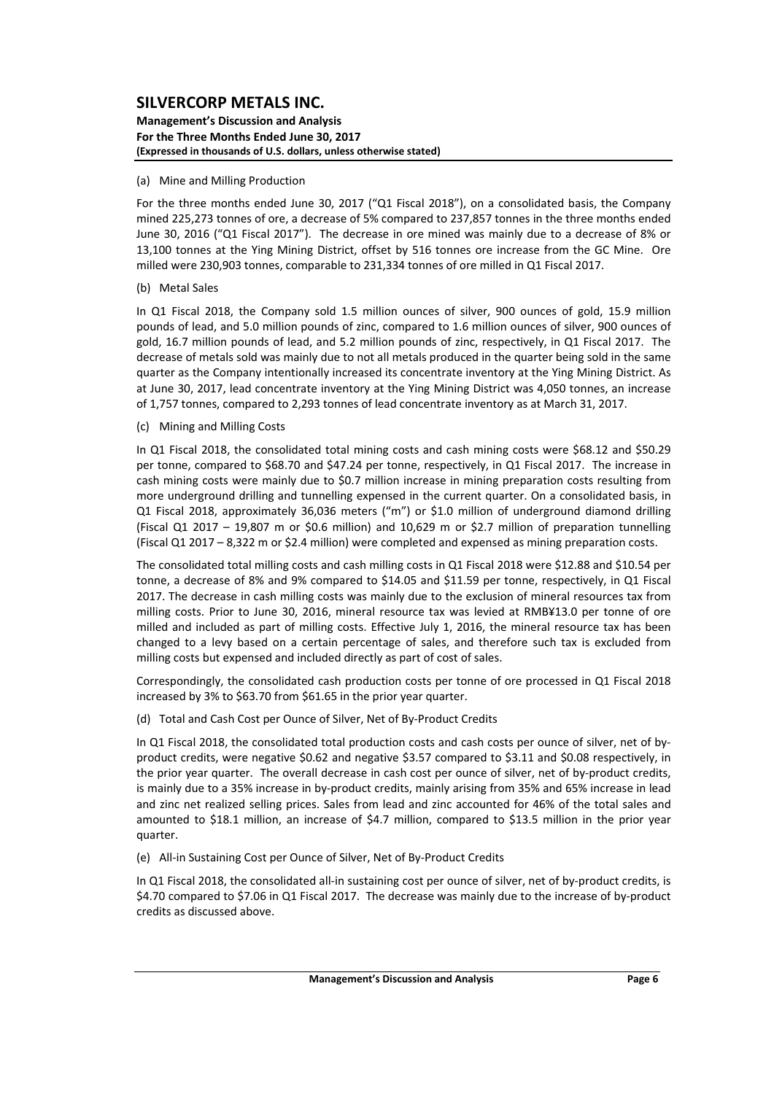#### **Management's Discussion and Analysis For the Three Months Ended June 30, 2017 (Expressed in thousands of U.S. dollars, unless otherwise stated)**

#### (a) Mine and Milling Production

For the three months ended June 30, 2017 ("Q1 Fiscal 2018"), on a consolidated basis, the Company mined 225,273 tonnes of ore, a decrease of 5% compared to 237,857 tonnes in the three months ended June 30, 2016 ("Q1 Fiscal 2017"). The decrease in ore mined was mainly due to a decrease of 8% or 13,100 tonnes at the Ying Mining District, offset by 516 tonnes ore increase from the GC Mine. Ore milled were 230,903 tonnes, comparable to 231,334 tonnes of ore milled in Q1 Fiscal 2017.

#### (b) Metal Sales

In Q1 Fiscal 2018, the Company sold 1.5 million ounces of silver, 900 ounces of gold, 15.9 million pounds of lead, and 5.0 million pounds of zinc, compared to 1.6 million ounces of silver, 900 ounces of gold, 16.7 million pounds of lead, and 5.2 million pounds of zinc, respectively, in Q1 Fiscal 2017. The decrease of metals sold was mainly due to not all metals produced in the quarter being sold in the same quarter as the Company intentionally increased its concentrate inventory at the Ying Mining District. As at June 30, 2017, lead concentrate inventory at the Ying Mining District was 4,050 tonnes, an increase of 1,757 tonnes, compared to 2,293 tonnes of lead concentrate inventory as at March 31, 2017.

#### (c) Mining and Milling Costs

In Q1 Fiscal 2018, the consolidated total mining costs and cash mining costs were \$68.12 and \$50.29 per tonne, compared to \$68.70 and \$47.24 per tonne, respectively, in Q1 Fiscal 2017. The increase in cash mining costs were mainly due to \$0.7 million increase in mining preparation costs resulting from more underground drilling and tunnelling expensed in the current quarter. On a consolidated basis, in Q1 Fiscal 2018, approximately 36,036 meters ("m") or \$1.0 million of underground diamond drilling (Fiscal Q1 2017 – 19,807 m or \$0.6 million) and 10,629 m or \$2.7 million of preparation tunnelling (Fiscal Q1 2017 – 8,322 m or \$2.4 million) were completed and expensed as mining preparation costs.

The consolidated total milling costs and cash milling costs in Q1 Fiscal 2018 were \$12.88 and \$10.54 per tonne, a decrease of 8% and 9% compared to \$14.05 and \$11.59 per tonne, respectively, in Q1 Fiscal 2017. The decrease in cash milling costs was mainly due to the exclusion of mineral resources tax from milling costs. Prior to June 30, 2016, mineral resource tax was levied at RMB¥13.0 per tonne of ore milled and included as part of milling costs. Effective July 1, 2016, the mineral resource tax has been changed to a levy based on a certain percentage of sales, and therefore such tax is excluded from milling costs but expensed and included directly as part of cost of sales.

Correspondingly, the consolidated cash production costs per tonne of ore processed in Q1 Fiscal 2018 increased by 3% to \$63.70 from \$61.65 in the prior year quarter.

(d) Total and Cash Cost per Ounce of Silver, Net of By‐Product Credits

In Q1 Fiscal 2018, the consolidated total production costs and cash costs per ounce of silver, net of byproduct credits, were negative \$0.62 and negative \$3.57 compared to \$3.11 and \$0.08 respectively, in the prior year quarter. The overall decrease in cash cost per ounce of silver, net of by‐product credits, is mainly due to a 35% increase in by‐product credits, mainly arising from 35% and 65% increase in lead and zinc net realized selling prices. Sales from lead and zinc accounted for 46% of the total sales and amounted to \$18.1 million, an increase of \$4.7 million, compared to \$13.5 million in the prior year quarter.

(e) All‐in Sustaining Cost per Ounce of Silver, Net of By‐Product Credits

In Q1 Fiscal 2018, the consolidated all-in sustaining cost per ounce of silver, net of by-product credits, is \$4.70 compared to \$7.06 in Q1 Fiscal 2017. The decrease was mainly due to the increase of by‐product credits as discussed above.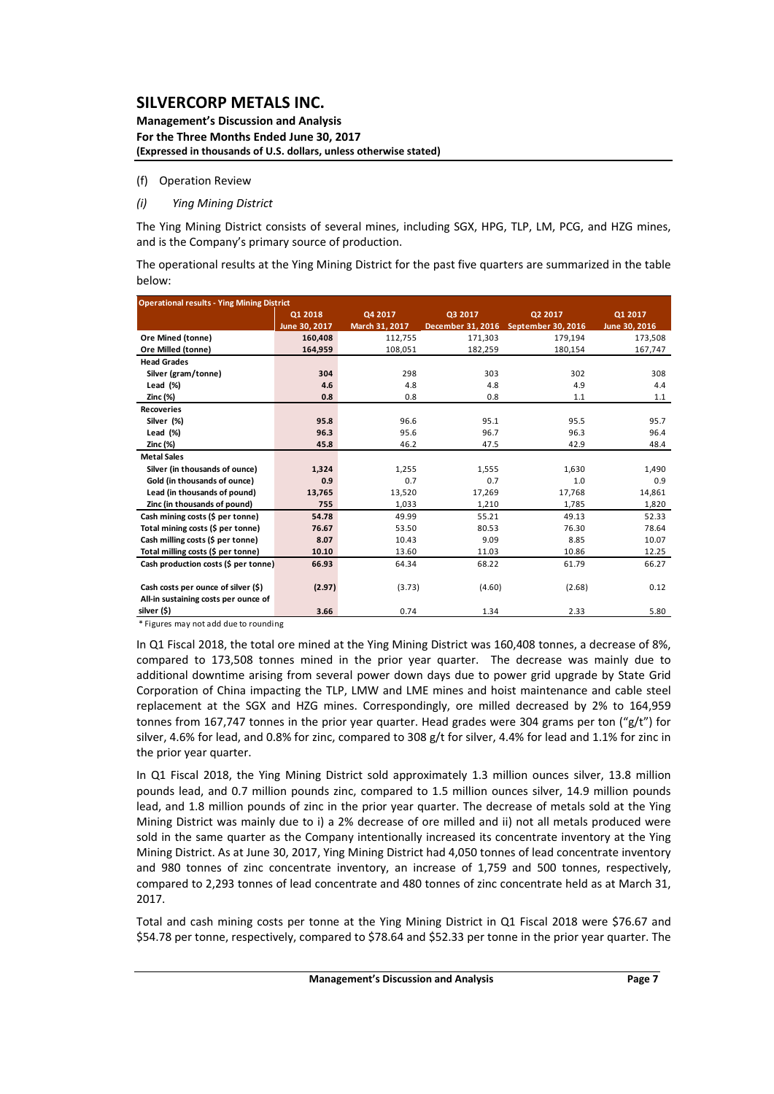#### **Management's Discussion and Analysis For the Three Months Ended June 30, 2017 (Expressed in thousands of U.S. dollars, unless otherwise stated)**

#### (f) Operation Review

#### *(i) Ying Mining District*

The Ying Mining District consists of several mines, including SGX, HPG, TLP, LM, PCG, and HZG mines, and is the Company's primary source of production.

The operational results at the Ying Mining District for the past five quarters are summarized in the table below:

| <b>Operational results - Ying Mining District</b> |                                          |                |         |                                      |               |  |  |  |  |  |  |  |
|---------------------------------------------------|------------------------------------------|----------------|---------|--------------------------------------|---------------|--|--|--|--|--|--|--|
|                                                   | 01 2018<br>Q4 2017<br>Q3 2017<br>Q2 2017 |                |         |                                      |               |  |  |  |  |  |  |  |
|                                                   | June 30, 2017                            | March 31, 2017 |         | December 31, 2016 September 30, 2016 | June 30, 2016 |  |  |  |  |  |  |  |
| Ore Mined (tonne)                                 | 160,408                                  | 112,755        | 171,303 | 179,194                              | 173,508       |  |  |  |  |  |  |  |
| Ore Milled (tonne)                                | 164,959                                  | 108,051        | 182,259 | 180,154                              | 167,747       |  |  |  |  |  |  |  |
| <b>Head Grades</b>                                |                                          |                |         |                                      |               |  |  |  |  |  |  |  |
| Silver (gram/tonne)                               | 304                                      | 298            | 303     | 302                                  | 308           |  |  |  |  |  |  |  |
| Lead $(*)$                                        | 4.6                                      | 4.8            | 4.8     | 4.9                                  | 4.4           |  |  |  |  |  |  |  |
| Zinc (%)                                          | 0.8                                      | 0.8            | 0.8     | 1.1                                  | 1.1           |  |  |  |  |  |  |  |
| <b>Recoveries</b>                                 |                                          |                |         |                                      |               |  |  |  |  |  |  |  |
| Silver (%)                                        | 95.8                                     | 96.6           | 95.1    | 95.5                                 | 95.7          |  |  |  |  |  |  |  |
| Lead (%)                                          | 96.3                                     | 95.6           | 96.7    | 96.3                                 | 96.4          |  |  |  |  |  |  |  |
| Zinc (%)                                          | 45.8                                     | 46.2           | 47.5    | 42.9                                 | 48.4          |  |  |  |  |  |  |  |
| <b>Metal Sales</b>                                |                                          |                |         |                                      |               |  |  |  |  |  |  |  |
| Silver (in thousands of ounce)                    | 1,324                                    | 1,255          | 1,555   | 1,630                                | 1,490         |  |  |  |  |  |  |  |
| Gold (in thousands of ounce)                      | 0.9                                      | 0.7            | 0.7     | 1.0                                  | 0.9           |  |  |  |  |  |  |  |
| Lead (in thousands of pound)                      | 13,765                                   | 13,520         | 17,269  | 17,768                               | 14,861        |  |  |  |  |  |  |  |
| Zinc (in thousands of pound)                      | 755                                      | 1,033          | 1,210   | 1,785                                | 1,820         |  |  |  |  |  |  |  |
| Cash mining costs (\$ per tonne)                  | 54.78                                    | 49.99          | 55.21   | 49.13                                | 52.33         |  |  |  |  |  |  |  |
| Total mining costs (\$ per tonne)                 | 76.67                                    | 53.50          | 80.53   | 76.30                                | 78.64         |  |  |  |  |  |  |  |
| Cash milling costs (\$ per tonne)                 | 8.07                                     | 10.43          | 9.09    | 8.85                                 | 10.07         |  |  |  |  |  |  |  |
| Total milling costs (\$ per tonne)                | 10.10                                    | 13.60          | 11.03   | 10.86                                | 12.25         |  |  |  |  |  |  |  |
| Cash production costs (\$ per tonne)              | 66.93                                    | 64.34          | 68.22   | 61.79                                | 66.27         |  |  |  |  |  |  |  |
|                                                   |                                          |                |         |                                      |               |  |  |  |  |  |  |  |
| Cash costs per ounce of silver (\$)               | (2.97)                                   | (3.73)         | (4.60)  | (2.68)                               | 0.12          |  |  |  |  |  |  |  |
| All-in sustaining costs per ounce of              |                                          |                |         |                                      |               |  |  |  |  |  |  |  |
| silver (\$)                                       | 3.66                                     | 0.74           | 1.34    | 2.33                                 | 5.80          |  |  |  |  |  |  |  |

\* Figures may not add due to rounding

In Q1 Fiscal 2018, the total ore mined at the Ying Mining District was 160,408 tonnes, a decrease of 8%, compared to 173,508 tonnes mined in the prior year quarter. The decrease was mainly due to additional downtime arising from several power down days due to power grid upgrade by State Grid Corporation of China impacting the TLP, LMW and LME mines and hoist maintenance and cable steel replacement at the SGX and HZG mines. Correspondingly, ore milled decreased by 2% to 164,959 tonnes from 167,747 tonnes in the prior year quarter. Head grades were 304 grams per ton (" $g/t$ ") for silver, 4.6% for lead, and 0.8% for zinc, compared to 308 g/t for silver, 4.4% for lead and 1.1% for zinc in the prior year quarter.

In Q1 Fiscal 2018, the Ying Mining District sold approximately 1.3 million ounces silver, 13.8 million pounds lead, and 0.7 million pounds zinc, compared to 1.5 million ounces silver, 14.9 million pounds lead, and 1.8 million pounds of zinc in the prior year quarter. The decrease of metals sold at the Ying Mining District was mainly due to i) a 2% decrease of ore milled and ii) not all metals produced were sold in the same quarter as the Company intentionally increased its concentrate inventory at the Ying Mining District. As at June 30, 2017, Ying Mining District had 4,050 tonnes of lead concentrate inventory and 980 tonnes of zinc concentrate inventory, an increase of 1,759 and 500 tonnes, respectively, compared to 2,293 tonnes of lead concentrate and 480 tonnes of zinc concentrate held as at March 31, 2017.

Total and cash mining costs per tonne at the Ying Mining District in Q1 Fiscal 2018 were \$76.67 and \$54.78 per tonne, respectively, compared to \$78.64 and \$52.33 per tonne in the prior year quarter. The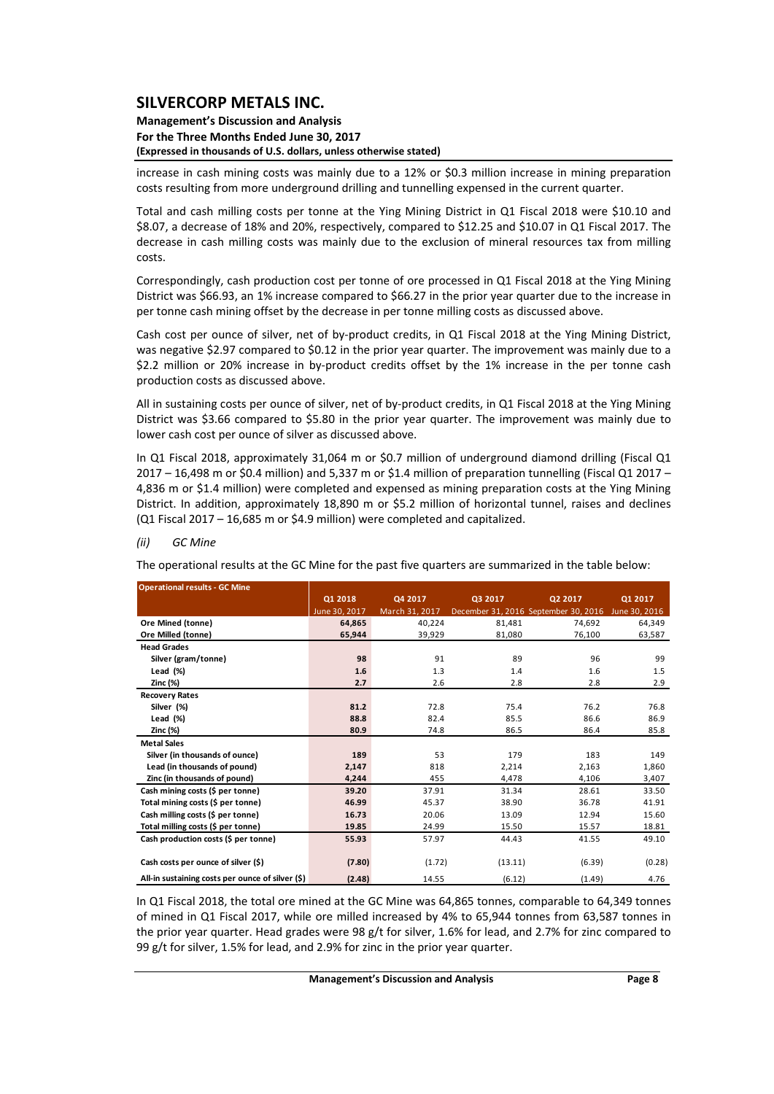#### **Management's Discussion and Analysis For the Three Months Ended June 30, 2017 (Expressed in thousands of U.S. dollars, unless otherwise stated)**

increase in cash mining costs was mainly due to a 12% or \$0.3 million increase in mining preparation costs resulting from more underground drilling and tunnelling expensed in the current quarter.

Total and cash milling costs per tonne at the Ying Mining District in Q1 Fiscal 2018 were \$10.10 and \$8.07, a decrease of 18% and 20%, respectively, compared to \$12.25 and \$10.07 in Q1 Fiscal 2017. The decrease in cash milling costs was mainly due to the exclusion of mineral resources tax from milling costs.

Correspondingly, cash production cost per tonne of ore processed in Q1 Fiscal 2018 at the Ying Mining District was \$66.93, an 1% increase compared to \$66.27 in the prior year quarter due to the increase in per tonne cash mining offset by the decrease in per tonne milling costs as discussed above.

Cash cost per ounce of silver, net of by‐product credits, in Q1 Fiscal 2018 at the Ying Mining District, was negative \$2.97 compared to \$0.12 in the prior year quarter. The improvement was mainly due to a \$2.2 million or 20% increase in by-product credits offset by the 1% increase in the per tonne cash production costs as discussed above.

All in sustaining costs per ounce of silver, net of by‐product credits, in Q1 Fiscal 2018 at the Ying Mining District was \$3.66 compared to \$5.80 in the prior year quarter. The improvement was mainly due to lower cash cost per ounce of silver as discussed above.

In Q1 Fiscal 2018, approximately 31,064 m or \$0.7 million of underground diamond drilling (Fiscal Q1 2017 – 16,498 m or \$0.4 million) and 5,337 m or \$1.4 million of preparation tunnelling (Fiscal Q1 2017 – 4,836 m or \$1.4 million) were completed and expensed as mining preparation costs at the Ying Mining District. In addition, approximately 18,890 m or \$5.2 million of horizontal tunnel, raises and declines (Q1 Fiscal 2017 – 16,685 m or \$4.9 million) were completed and capitalized.

#### *(ii) GC Mine*

The operational results at the GC Mine for the past five quarters are summarized in the table below:

| <b>Operational results - GC Mine</b>             |               |                |         |                                      |               |
|--------------------------------------------------|---------------|----------------|---------|--------------------------------------|---------------|
|                                                  | 01 2018       | Q4 2017        | Q3 2017 | Q2 2017                              | Q1 2017       |
|                                                  | June 30, 2017 | March 31, 2017 |         | December 31, 2016 September 30, 2016 | June 30, 2016 |
| Ore Mined (tonne)                                | 64,865        | 40.224         | 81,481  | 74,692                               | 64,349        |
| Ore Milled (tonne)                               | 65,944        | 39,929         | 81,080  | 76,100                               | 63,587        |
| <b>Head Grades</b>                               |               |                |         |                                      |               |
| Silver (gram/tonne)                              | 98            | 91             | 89      | 96                                   | 99            |
| Lead $(\%)$                                      | 1.6           | 1.3            | 1.4     | 1.6                                  | 1.5           |
| Zinc (%)                                         | 2.7           | 2.6            | 2.8     | 2.8                                  | 2.9           |
| <b>Recovery Rates</b>                            |               |                |         |                                      |               |
| Silver (%)                                       | 81.2          | 72.8           | 75.4    | 76.2                                 | 76.8          |
| Lead $(\%)$                                      | 88.8          | 82.4           | 85.5    | 86.6                                 | 86.9          |
| Zinc (%)                                         | 80.9          | 74.8           | 86.5    | 86.4                                 | 85.8          |
| <b>Metal Sales</b>                               |               |                |         |                                      |               |
| Silver (in thousands of ounce)                   | 189           | 53             | 179     | 183                                  | 149           |
| Lead (in thousands of pound)                     | 2,147         | 818            | 2,214   | 2,163                                | 1,860         |
| Zinc (in thousands of pound)                     | 4,244         | 455            | 4,478   | 4,106                                | 3,407         |
| Cash mining costs (\$ per tonne)                 | 39.20         | 37.91          | 31.34   | 28.61                                | 33.50         |
| Total mining costs (\$ per tonne)                | 46.99         | 45.37          | 38.90   | 36.78                                | 41.91         |
| Cash milling costs (\$ per tonne)                | 16.73         | 20.06          | 13.09   | 12.94                                | 15.60         |
| Total milling costs (\$ per tonne)               | 19.85         | 24.99          | 15.50   | 15.57                                | 18.81         |
| Cash production costs (\$ per tonne)             | 55.93         | 57.97          | 44.43   | 41.55                                | 49.10         |
|                                                  |               |                |         |                                      |               |
| Cash costs per ounce of silver (\$)              | (7.80)        | (1.72)         | (13.11) | (6.39)                               | (0.28)        |
| All-in sustaining costs per ounce of silver (\$) | (2.48)        | 14.55          | (6.12)  | (1.49)                               | 4.76          |

In Q1 Fiscal 2018, the total ore mined at the GC Mine was 64,865 tonnes, comparable to 64,349 tonnes of mined in Q1 Fiscal 2017, while ore milled increased by 4% to 65,944 tonnes from 63,587 tonnes in the prior year quarter. Head grades were 98 g/t for silver, 1.6% for lead, and 2.7% for zinc compared to 99 g/t for silver, 1.5% for lead, and 2.9% for zinc in the prior year quarter.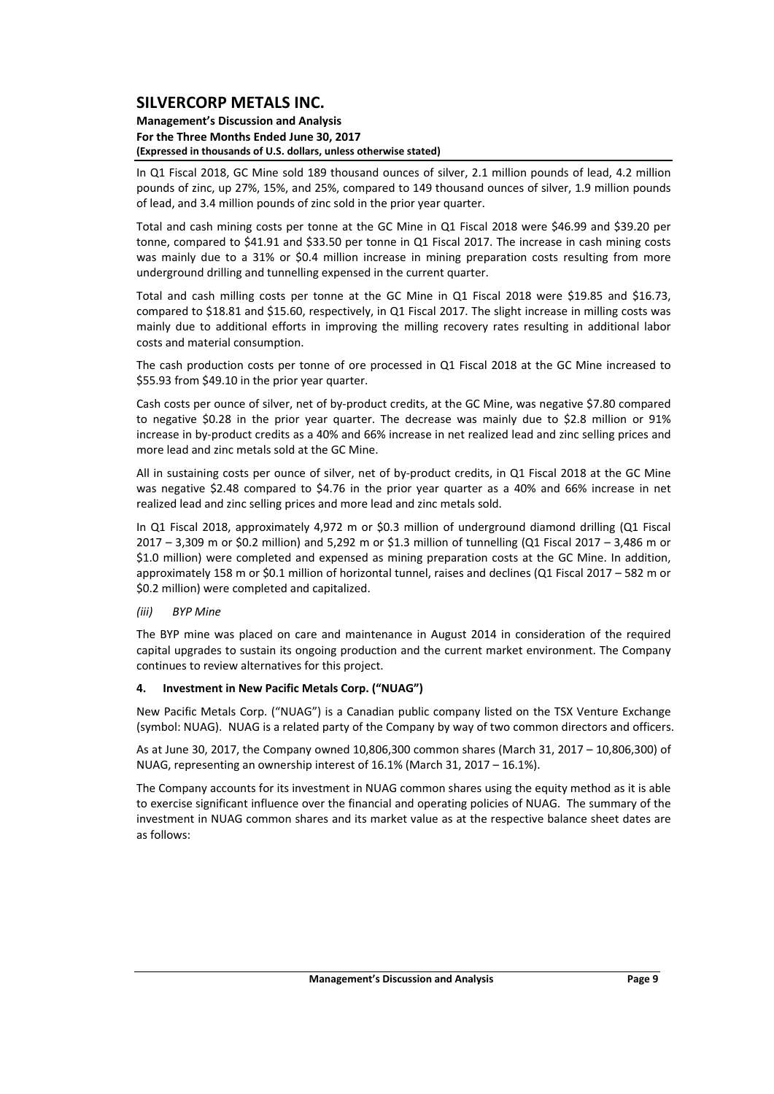#### **Management's Discussion and Analysis For the Three Months Ended June 30, 2017 (Expressed in thousands of U.S. dollars, unless otherwise stated)**

In Q1 Fiscal 2018, GC Mine sold 189 thousand ounces of silver, 2.1 million pounds of lead, 4.2 million pounds of zinc, up 27%, 15%, and 25%, compared to 149 thousand ounces of silver, 1.9 million pounds of lead, and 3.4 million pounds of zinc sold in the prior year quarter.

Total and cash mining costs per tonne at the GC Mine in Q1 Fiscal 2018 were \$46.99 and \$39.20 per tonne, compared to \$41.91 and \$33.50 per tonne in Q1 Fiscal 2017. The increase in cash mining costs was mainly due to a 31% or \$0.4 million increase in mining preparation costs resulting from more underground drilling and tunnelling expensed in the current quarter.

Total and cash milling costs per tonne at the GC Mine in Q1 Fiscal 2018 were \$19.85 and \$16.73, compared to \$18.81 and \$15.60, respectively, in Q1 Fiscal 2017. The slight increase in milling costs was mainly due to additional efforts in improving the milling recovery rates resulting in additional labor costs and material consumption.

The cash production costs per tonne of ore processed in Q1 Fiscal 2018 at the GC Mine increased to \$55.93 from \$49.10 in the prior year quarter.

Cash costs per ounce of silver, net of by‐product credits, at the GC Mine, was negative \$7.80 compared to negative \$0.28 in the prior year quarter. The decrease was mainly due to \$2.8 million or 91% increase in by‐product credits as a 40% and 66% increase in net realized lead and zinc selling prices and more lead and zinc metals sold at the GC Mine.

All in sustaining costs per ounce of silver, net of by‐product credits, in Q1 Fiscal 2018 at the GC Mine was negative \$2.48 compared to \$4.76 in the prior year quarter as a 40% and 66% increase in net realized lead and zinc selling prices and more lead and zinc metals sold.

In Q1 Fiscal 2018, approximately 4,972 m or \$0.3 million of underground diamond drilling (Q1 Fiscal 2017 – 3,309 m or \$0.2 million) and 5,292 m or \$1.3 million of tunnelling (Q1 Fiscal 2017 – 3,486 m or \$1.0 million) were completed and expensed as mining preparation costs at the GC Mine. In addition, approximately 158 m or \$0.1 million of horizontal tunnel, raises and declines (Q1 Fiscal 2017 – 582 m or \$0.2 million) were completed and capitalized.

## *(iii) BYP Mine*

The BYP mine was placed on care and maintenance in August 2014 in consideration of the required capital upgrades to sustain its ongoing production and the current market environment. The Company continues to review alternatives for this project.

#### **4. Investment in New Pacific Metals Corp. ("NUAG")**

New Pacific Metals Corp. ("NUAG") is a Canadian public company listed on the TSX Venture Exchange (symbol: NUAG). NUAG is a related party of the Company by way of two common directors and officers.

As at June 30, 2017, the Company owned 10,806,300 common shares (March 31, 2017 – 10,806,300) of NUAG, representing an ownership interest of 16.1% (March 31, 2017 – 16.1%).

The Company accounts for its investment in NUAG common shares using the equity method as it is able to exercise significant influence over the financial and operating policies of NUAG. The summary of the investment in NUAG common shares and its market value as at the respective balance sheet dates are as follows: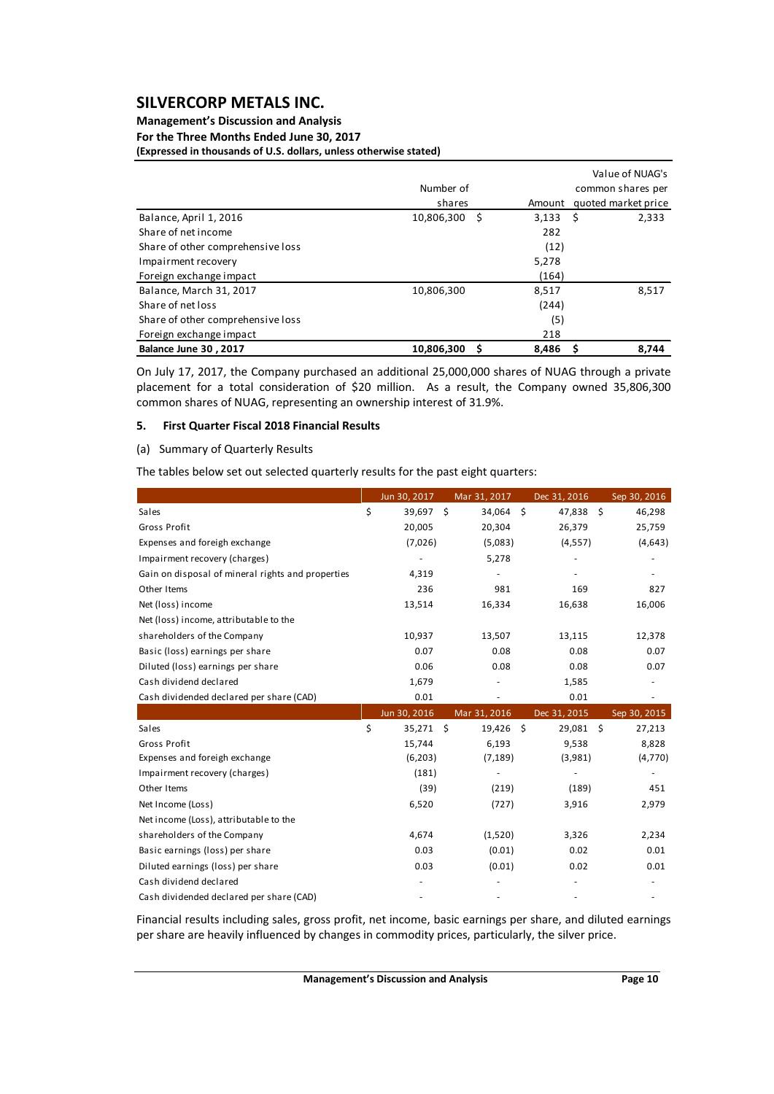## **Management's Discussion and Analysis For the Three Months Ended June 30, 2017**

**(Expressed in thousands of U.S. dollars, unless otherwise stated)**

|                                   |                 |        | Value of NUAG's     |
|-----------------------------------|-----------------|--------|---------------------|
|                                   | Number of       |        | common shares per   |
|                                   | shares          | Amount | quoted market price |
| Balance, April 1, 2016            | 10,806,300 \$   | 3,133  | 2,333<br>- S        |
| Share of net income               |                 | 282    |                     |
| Share of other comprehensive loss |                 | (12)   |                     |
| Impairment recovery               |                 | 5,278  |                     |
| Foreign exchange impact           |                 | (164)  |                     |
| Balance, March 31, 2017           | 10,806,300      | 8,517  | 8,517               |
| Share of net loss                 |                 | (244)  |                     |
| Share of other comprehensive loss |                 | (5)    |                     |
| Foreign exchange impact           |                 | 218    |                     |
| <b>Balance June 30, 2017</b>      | 10.806.300<br>S | 8,486  | 8.744<br>s          |

On July 17, 2017, the Company purchased an additional 25,000,000 shares of NUAG through a private placement for a total consideration of \$20 million. As a result, the Company owned 35,806,300 common shares of NUAG, representing an ownership interest of 31.9%.

#### **5. First Quarter Fiscal 2018 Financial Results**

#### (a) Summary of Quarterly Results

The tables below set out selected quarterly results for the past eight quarters:

|                                                   | Jun 30, 2017      | Mar 31, 2017 | Dec 31, 2016 | Sep 30, 2016 |
|---------------------------------------------------|-------------------|--------------|--------------|--------------|
| Sales                                             | \$<br>39,697 \$   | 34,064 \$    | 47,838 \$    | 46,298       |
| Gross Profit                                      | 20,005            | 20,304       | 26,379       | 25,759       |
| Expenses and foreigh exchange                     | (7,026)           | (5,083)      | (4, 557)     | (4,643)      |
| Impairment recovery (charges)                     |                   | 5,278        |              |              |
| Gain on disposal of mineral rights and properties | 4,319             |              |              |              |
| Other Items                                       | 236               | 981          | 169          | 827          |
| Net (loss) income                                 | 13,514            | 16,334       | 16,638       | 16,006       |
| Net (loss) income, attributable to the            |                   |              |              |              |
| shareholders of the Company                       | 10,937            | 13,507       | 13,115       | 12,378       |
| Basic (loss) earnings per share                   | 0.07              | 0.08         | 0.08         | 0.07         |
| Diluted (loss) earnings per share                 | 0.06              | 0.08         | 0.08         | 0.07         |
| Cash dividend declared                            | 1,679             |              | 1,585        |              |
| Cash dividended declared per share (CAD)          | 0.01              |              | 0.01         |              |
|                                                   | Jun 30, 2016      | Mar 31, 2016 | Dec 31, 2015 | Sep 30, 2015 |
| Sales                                             | \$<br>$35,271$ \$ | 19,426 \$    | 29,081 \$    | 27,213       |
| Gross Profit                                      | 15,744            | 6,193        | 9,538        | 8,828        |
| Expenses and foreigh exchange                     | (6,203)           | (7, 189)     | (3,981)      | (4,770)      |
| Impairment recovery (charges)                     | (181)             |              |              |              |
| Other Items                                       | (39)              | (219)        | (189)        | 451          |
| Net Income (Loss)                                 | 6,520             | (727)        | 3,916        | 2,979        |
| Net income (Loss), attributable to the            |                   |              |              |              |
| shareholders of the Company                       | 4,674             | (1,520)      | 3,326        | 2,234        |
| Basic earnings (loss) per share                   | 0.03              | (0.01)       | 0.02         | 0.01         |
| Diluted earnings (loss) per share                 | 0.03              | (0.01)       | 0.02         | 0.01         |
| Cash dividend declared                            |                   |              |              |              |
| Cash dividended declared per share (CAD)          |                   |              |              |              |

Financial results including sales, gross profit, net income, basic earnings per share, and diluted earnings per share are heavily influenced by changes in commodity prices, particularly, the silver price.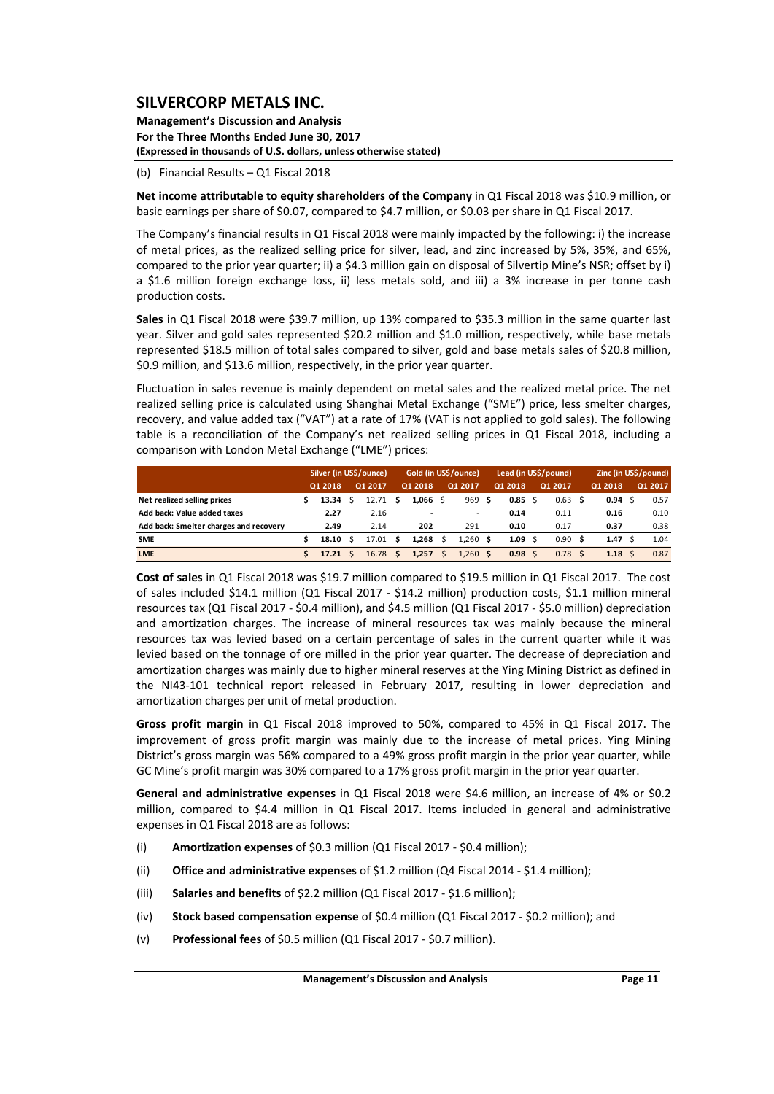**Management's Discussion and Analysis For the Three Months Ended June 30, 2017 (Expressed in thousands of U.S. dollars, unless otherwise stated)**

(b) Financial Results – Q1 Fiscal 2018

**Net income attributable to equity shareholders of the Company** in Q1 Fiscal 2018 was \$10.9 million, or basic earnings per share of \$0.07, compared to \$4.7 million, or \$0.03 per share in Q1 Fiscal 2017.

The Company's financial results in Q1 Fiscal 2018 were mainly impacted by the following: i) the increase of metal prices, as the realized selling price for silver, lead, and zinc increased by 5%, 35%, and 65%, compared to the prior year quarter; ii) a \$4.3 million gain on disposal of Silvertip Mine's NSR; offset by i) a \$1.6 million foreign exchange loss, ii) less metals sold, and iii) a 3% increase in per tonne cash production costs.

**Sales** in Q1 Fiscal 2018 were \$39.7 million, up 13% compared to \$35.3 million in the same quarter last year. Silver and gold sales represented \$20.2 million and \$1.0 million, respectively, while base metals represented \$18.5 million of total sales compared to silver, gold and base metals sales of \$20.8 million, \$0.9 million, and \$13.6 million, respectively, in the prior year quarter.

Fluctuation in sales revenue is mainly dependent on metal sales and the realized metal price. The net realized selling price is calculated using Shanghai Metal Exchange ("SME") price, less smelter charges, recovery, and value added tax ("VAT") at a rate of 17% (VAT is not applied to gold sales). The following table is a reconciliation of the Company's net realized selling prices in Q1 Fiscal 2018, including a comparison with London Metal Exchange ("LME") prices:

|                                        | Silver (in US\$/ounce), |         |  |         | Gold (in US\$/ounce) |            |  | Lead (in US\$/pound)     |     |                |     | Zinc (in US\$/pound) |    |         |  |         |
|----------------------------------------|-------------------------|---------|--|---------|----------------------|------------|--|--------------------------|-----|----------------|-----|----------------------|----|---------|--|---------|
|                                        |                         | 01 2018 |  | 01 2017 |                      | 01 2018    |  | 01 2017                  |     | 01 2018        |     | Q1 2017              |    | 01 2018 |  | Q1 2017 |
| Net realized selling prices            |                         | 13.34   |  | 12.71   | s                    | $1.066$ \$ |  | 969                      | - S | $0.85 \quad S$ |     | 0.63                 | -S | 0.94    |  | 0.57    |
| Add back: Value added taxes            |                         | 2.27    |  | 2.16    |                      |            |  | $\overline{\phantom{0}}$ |     | 0.14           |     | 0.11                 |    | 0.16    |  | 0.10    |
| Add back: Smelter charges and recovery |                         | 2.49    |  | 2.14    |                      | 202        |  | 291                      |     | 0.10           |     | 0.17                 |    | 0.37    |  | 0.38    |
| <b>SME</b>                             |                         | 18.10   |  | 17.01   | S                    | 1.268      |  | 1.260                    | S   | 1.09           | - S | 0.90                 |    | 1.47    |  | 1.04    |
| <b>LME</b>                             |                         | 17.21   |  | 16.78   |                      | 1.257      |  | 1.260                    | S   | $0.98 \,$ \$   |     | 0.78                 | Ŝ  | 1.18    |  | 0.87    |

**Cost of sales** in Q1 Fiscal 2018 was \$19.7 million compared to \$19.5 million in Q1 Fiscal 2017. The cost of sales included \$14.1 million (Q1 Fiscal 2017 ‐ \$14.2 million) production costs, \$1.1 million mineral resources tax (Q1 Fiscal 2017 ‐ \$0.4 million), and \$4.5 million (Q1 Fiscal 2017 ‐ \$5.0 million) depreciation and amortization charges. The increase of mineral resources tax was mainly because the mineral resources tax was levied based on a certain percentage of sales in the current quarter while it was levied based on the tonnage of ore milled in the prior year quarter. The decrease of depreciation and amortization charges was mainly due to higher mineral reserves at the Ying Mining District as defined in the NI43‐101 technical report released in February 2017, resulting in lower depreciation and amortization charges per unit of metal production.

**Gross profit margin** in Q1 Fiscal 2018 improved to 50%, compared to 45% in Q1 Fiscal 2017. The improvement of gross profit margin was mainly due to the increase of metal prices. Ying Mining District's gross margin was 56% compared to a 49% gross profit margin in the prior year quarter, while GC Mine's profit margin was 30% compared to a 17% gross profit margin in the prior year quarter.

**General and administrative expenses** in Q1 Fiscal 2018 were \$4.6 million, an increase of 4% or \$0.2 million, compared to \$4.4 million in Q1 Fiscal 2017. Items included in general and administrative expenses in Q1 Fiscal 2018 are as follows:

- (i) **Amortization expenses** of \$0.3 million (Q1 Fiscal 2017 ‐ \$0.4 million);
- (ii) **Office and administrative expenses** of \$1.2 million (Q4 Fiscal 2014 ‐ \$1.4 million);
- (iii) **Salaries and benefits** of \$2.2 million (Q1 Fiscal 2017 ‐ \$1.6 million);
- (iv) **Stock based compensation expense** of \$0.4 million (Q1 Fiscal 2017 ‐ \$0.2 million); and
- (v) **Professional fees** of \$0.5 million (Q1 Fiscal 2017 ‐ \$0.7 million).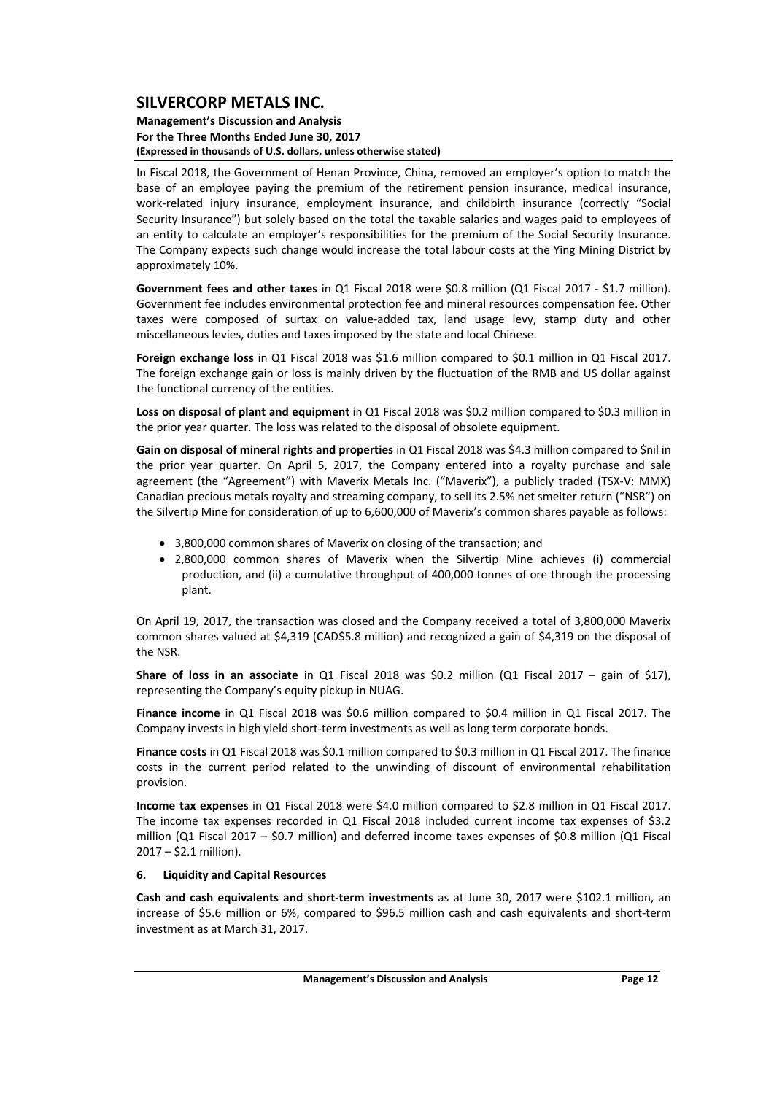#### **Management's Discussion and Analysis For the Three Months Ended June 30, 2017 (Expressed in thousands of U.S. dollars, unless otherwise stated)**

In Fiscal 2018, the Government of Henan Province, China, removed an employer's option to match the base of an employee paying the premium of the retirement pension insurance, medical insurance, work-related injury insurance, employment insurance, and childbirth insurance (correctly "Social Security Insurance") but solely based on the total the taxable salaries and wages paid to employees of an entity to calculate an employer's responsibilities for the premium of the Social Security Insurance. The Company expects such change would increase the total labour costs at the Ying Mining District by approximately 10%.

**Government fees and other taxes** in Q1 Fiscal 2018 were \$0.8 million (Q1 Fiscal 2017 ‐ \$1.7 million). Government fee includes environmental protection fee and mineral resources compensation fee. Other taxes were composed of surtax on value‐added tax, land usage levy, stamp duty and other miscellaneous levies, duties and taxes imposed by the state and local Chinese.

**Foreign exchange loss** in Q1 Fiscal 2018 was \$1.6 million compared to \$0.1 million in Q1 Fiscal 2017. The foreign exchange gain or loss is mainly driven by the fluctuation of the RMB and US dollar against the functional currency of the entities.

**Loss on disposal of plant and equipment** in Q1 Fiscal 2018 was \$0.2 million compared to \$0.3 million in the prior year quarter. The loss was related to the disposal of obsolete equipment.

**Gain on disposal of mineral rights and properties** in Q1 Fiscal 2018 was \$4.3 million compared to \$nil in the prior year quarter. On April 5, 2017, the Company entered into a royalty purchase and sale agreement (the "Agreement") with Maverix Metals Inc. ("Maverix"), a publicly traded (TSX‐V: MMX) Canadian precious metals royalty and streaming company, to sell its 2.5% net smelter return ("NSR") on the Silvertip Mine for consideration of up to 6,600,000 of Maverix's common shares payable as follows:

- 3,800,000 common shares of Maverix on closing of the transaction; and
- 2,800,000 common shares of Maverix when the Silvertip Mine achieves (i) commercial production, and (ii) a cumulative throughput of 400,000 tonnes of ore through the processing plant.

On April 19, 2017, the transaction was closed and the Company received a total of 3,800,000 Maverix common shares valued at \$4,319 (CAD\$5.8 million) and recognized a gain of \$4,319 on the disposal of the NSR.

**Share of loss in an associate** in Q1 Fiscal 2018 was \$0.2 million (Q1 Fiscal 2017 – gain of \$17), representing the Company's equity pickup in NUAG.

**Finance income** in Q1 Fiscal 2018 was \$0.6 million compared to \$0.4 million in Q1 Fiscal 2017. The Company invests in high yield short‐term investments as well as long term corporate bonds.

**Finance costs** in Q1 Fiscal 2018 was \$0.1 million compared to \$0.3 million in Q1 Fiscal 2017. The finance costs in the current period related to the unwinding of discount of environmental rehabilitation provision.

**Income tax expenses** in Q1 Fiscal 2018 were \$4.0 million compared to \$2.8 million in Q1 Fiscal 2017. The income tax expenses recorded in Q1 Fiscal 2018 included current income tax expenses of \$3.2 million (Q1 Fiscal 2017 – \$0.7 million) and deferred income taxes expenses of \$0.8 million (Q1 Fiscal 2017 – \$2.1 million).

#### **6. Liquidity and Capital Resources**

**Cash and cash equivalents and short‐term investments** as at June 30, 2017 were \$102.1 million, an increase of \$5.6 million or 6%, compared to \$96.5 million cash and cash equivalents and short‐term investment as at March 31, 2017.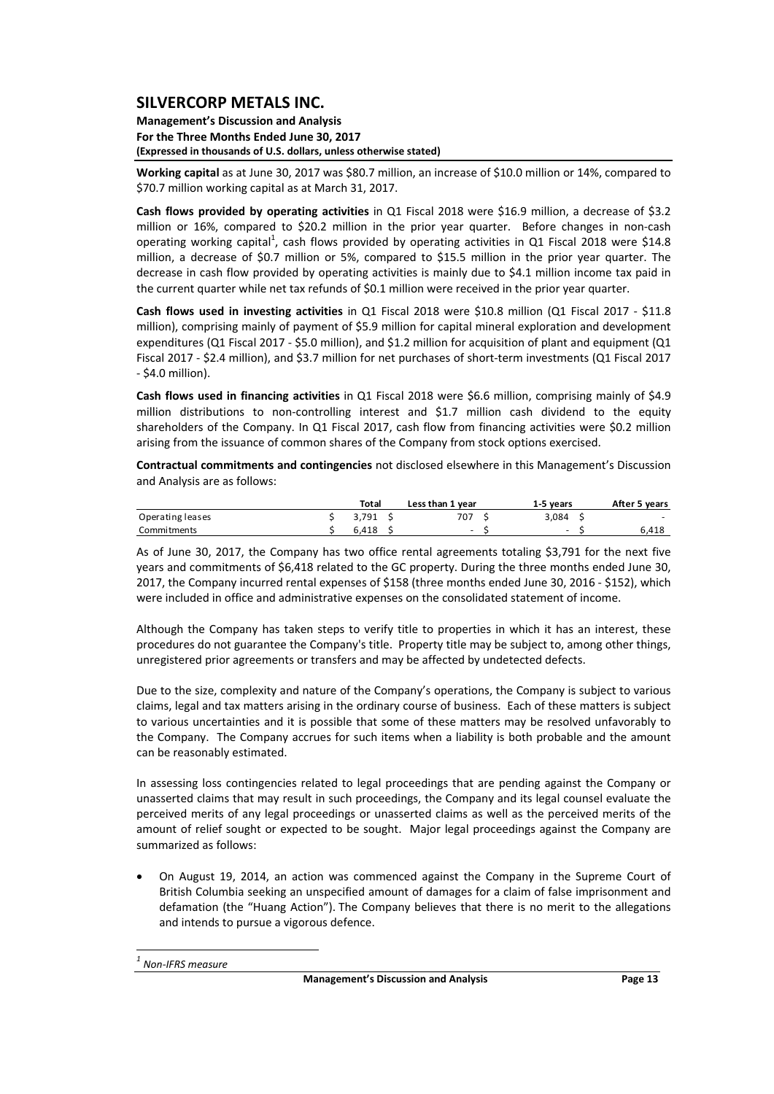**Management's Discussion and Analysis For the Three Months Ended June 30, 2017 (Expressed in thousands of U.S. dollars, unless otherwise stated)**

**Working capital** as at June 30, 2017 was \$80.7 million, an increase of \$10.0 million or 14%, compared to \$70.7 million working capital as at March 31, 2017.

**Cash flows provided by operating activities** in Q1 Fiscal 2018 were \$16.9 million, a decrease of \$3.2 million or 16%, compared to \$20.2 million in the prior year quarter. Before changes in non-cash operating working capital<sup>1</sup>, cash flows provided by operating activities in Q1 Fiscal 2018 were \$14.8 million, a decrease of \$0.7 million or 5%, compared to \$15.5 million in the prior year quarter. The decrease in cash flow provided by operating activities is mainly due to \$4.1 million income tax paid in the current quarter while net tax refunds of \$0.1 million were received in the prior year quarter.

**Cash flows used in investing activities** in Q1 Fiscal 2018 were \$10.8 million (Q1 Fiscal 2017 ‐ \$11.8 million), comprising mainly of payment of \$5.9 million for capital mineral exploration and development expenditures (Q1 Fiscal 2017 ‐ \$5.0 million), and \$1.2 million for acquisition of plant and equipment (Q1 Fiscal 2017 ‐ \$2.4 million), and \$3.7 million for net purchases of short‐term investments (Q1 Fiscal 2017 ‐ \$4.0 million).

**Cash flows used in financing activities** in Q1 Fiscal 2018 were \$6.6 million, comprising mainly of \$4.9 million distributions to non-controlling interest and \$1.7 million cash dividend to the equity shareholders of the Company. In Q1 Fiscal 2017, cash flow from financing activities were \$0.2 million arising from the issuance of common shares of the Company from stock options exercised.

**Contractual commitments and contingencies** not disclosed elsewhere in this Management's Discussion and Analysis are as follows:

|                  | Total | Less than 1 year | 1-5 vears | After 5 years |
|------------------|-------|------------------|-----------|---------------|
| Operating leases | 3.791 | 707              | 3.084     | -             |
| Commitments      | 6.418 | -                | -         | 418.،         |

As of June 30, 2017, the Company has two office rental agreements totaling \$3,791 for the next five years and commitments of \$6,418 related to the GC property. During the three months ended June 30, 2017, the Company incurred rental expenses of \$158 (three months ended June 30, 2016 ‐ \$152), which were included in office and administrative expenses on the consolidated statement of income.

Although the Company has taken steps to verify title to properties in which it has an interest, these procedures do not guarantee the Company's title. Property title may be subject to, among other things, unregistered prior agreements or transfers and may be affected by undetected defects.

Due to the size, complexity and nature of the Company's operations, the Company is subject to various claims, legal and tax matters arising in the ordinary course of business. Each of these matters is subject to various uncertainties and it is possible that some of these matters may be resolved unfavorably to the Company. The Company accrues for such items when a liability is both probable and the amount can be reasonably estimated.

In assessing loss contingencies related to legal proceedings that are pending against the Company or unasserted claims that may result in such proceedings, the Company and its legal counsel evaluate the perceived merits of any legal proceedings or unasserted claims as well as the perceived merits of the amount of relief sought or expected to be sought. Major legal proceedings against the Company are summarized as follows:

 On August 19, 2014, an action was commenced against the Company in the Supreme Court of British Columbia seeking an unspecified amount of damages for a claim of false imprisonment and defamation (the "Huang Action"). The Company believes that there is no merit to the allegations and intends to pursue a vigorous defence.

 *<sup>1</sup> Non‐IFRS measure*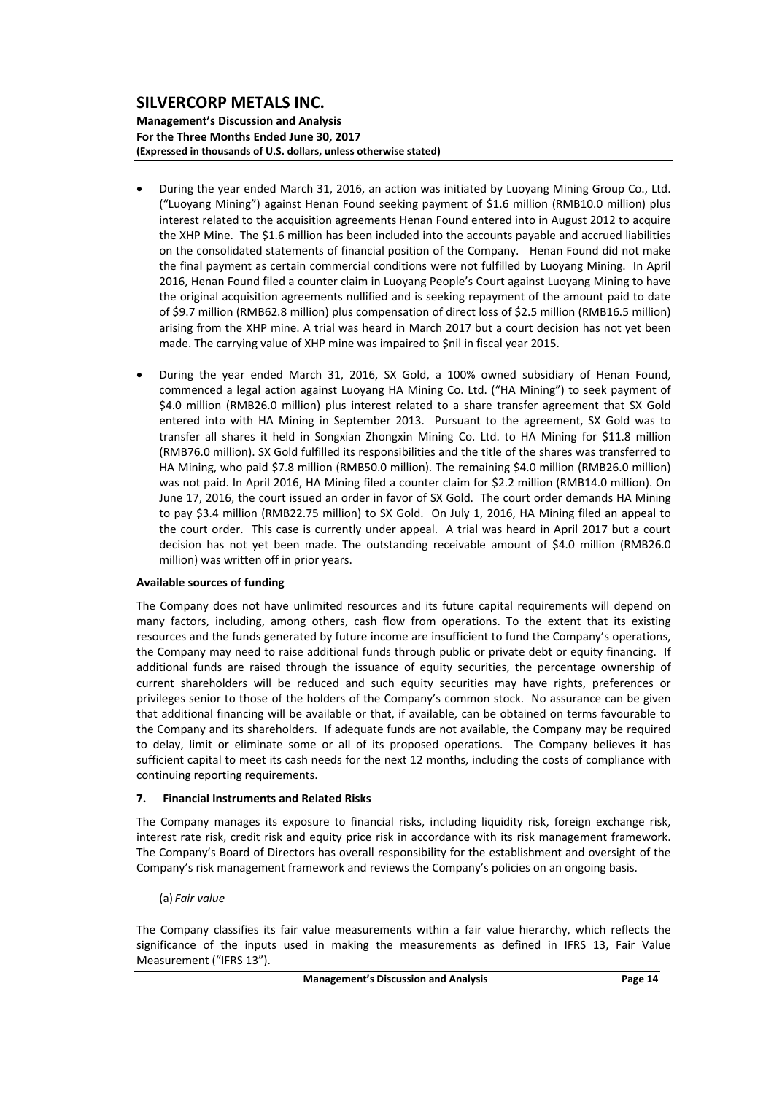**Management's Discussion and Analysis For the Three Months Ended June 30, 2017 (Expressed in thousands of U.S. dollars, unless otherwise stated)**

- During the year ended March 31, 2016, an action was initiated by Luoyang Mining Group Co., Ltd. ("Luoyang Mining") against Henan Found seeking payment of \$1.6 million (RMB10.0 million) plus interest related to the acquisition agreements Henan Found entered into in August 2012 to acquire the XHP Mine. The \$1.6 million has been included into the accounts payable and accrued liabilities on the consolidated statements of financial position of the Company. Henan Found did not make the final payment as certain commercial conditions were not fulfilled by Luoyang Mining. In April 2016, Henan Found filed a counter claim in Luoyang People's Court against Luoyang Mining to have the original acquisition agreements nullified and is seeking repayment of the amount paid to date of \$9.7 million (RMB62.8 million) plus compensation of direct loss of \$2.5 million (RMB16.5 million) arising from the XHP mine. A trial was heard in March 2017 but a court decision has not yet been made. The carrying value of XHP mine was impaired to \$nil in fiscal year 2015.
- During the year ended March 31, 2016, SX Gold, a 100% owned subsidiary of Henan Found, commenced a legal action against Luoyang HA Mining Co. Ltd. ("HA Mining") to seek payment of \$4.0 million (RMB26.0 million) plus interest related to a share transfer agreement that SX Gold entered into with HA Mining in September 2013. Pursuant to the agreement, SX Gold was to transfer all shares it held in Songxian Zhongxin Mining Co. Ltd. to HA Mining for \$11.8 million (RMB76.0 million). SX Gold fulfilled its responsibilities and the title of the shares was transferred to HA Mining, who paid \$7.8 million (RMB50.0 million). The remaining \$4.0 million (RMB26.0 million) was not paid. In April 2016, HA Mining filed a counter claim for \$2.2 million (RMB14.0 million). On June 17, 2016, the court issued an order in favor of SX Gold. The court order demands HA Mining to pay \$3.4 million (RMB22.75 million) to SX Gold. On July 1, 2016, HA Mining filed an appeal to the court order. This case is currently under appeal. A trial was heard in April 2017 but a court decision has not yet been made. The outstanding receivable amount of \$4.0 million (RMB26.0 million) was written off in prior years.

#### **Available sources of funding**

The Company does not have unlimited resources and its future capital requirements will depend on many factors, including, among others, cash flow from operations. To the extent that its existing resources and the funds generated by future income are insufficient to fund the Company's operations, the Company may need to raise additional funds through public or private debt or equity financing. If additional funds are raised through the issuance of equity securities, the percentage ownership of current shareholders will be reduced and such equity securities may have rights, preferences or privileges senior to those of the holders of the Company's common stock. No assurance can be given that additional financing will be available or that, if available, can be obtained on terms favourable to the Company and its shareholders. If adequate funds are not available, the Company may be required to delay, limit or eliminate some or all of its proposed operations. The Company believes it has sufficient capital to meet its cash needs for the next 12 months, including the costs of compliance with continuing reporting requirements.

#### **7. Financial Instruments and Related Risks**

The Company manages its exposure to financial risks, including liquidity risk, foreign exchange risk, interest rate risk, credit risk and equity price risk in accordance with its risk management framework. The Company's Board of Directors has overall responsibility for the establishment and oversight of the Company's risk management framework and reviews the Company's policies on an ongoing basis.

#### (a) *Fair value*

The Company classifies its fair value measurements within a fair value hierarchy, which reflects the significance of the inputs used in making the measurements as defined in IFRS 13, Fair Value Measurement ("IFRS 13").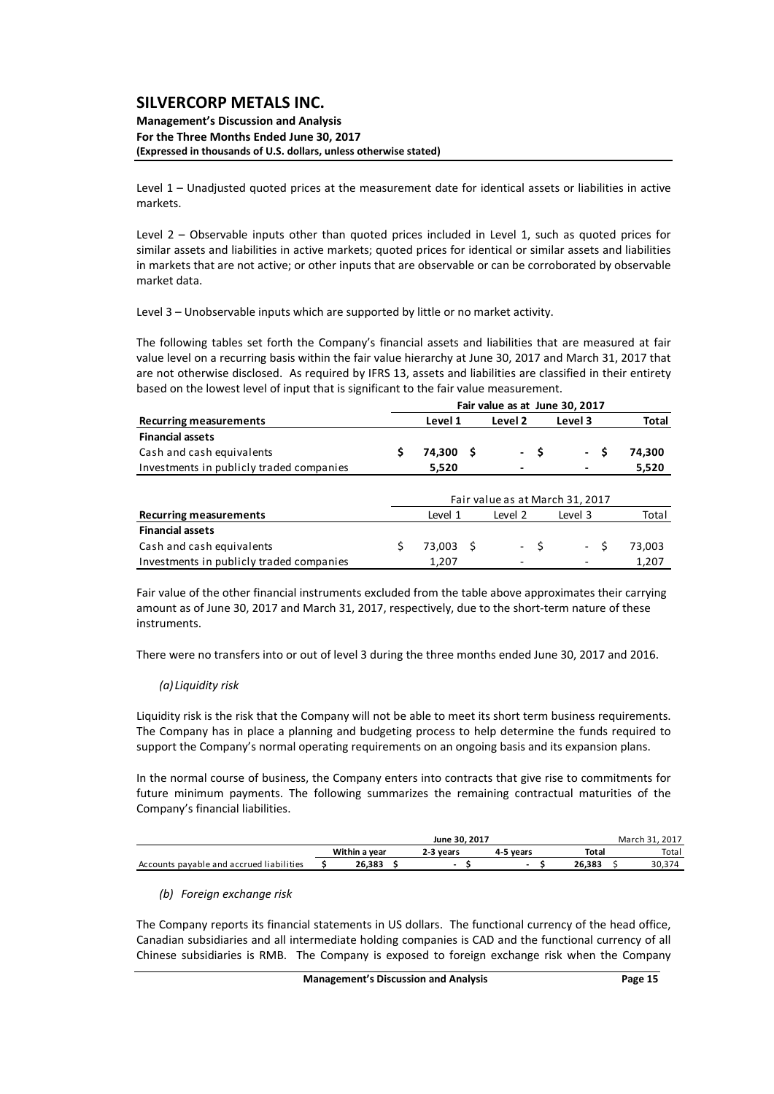#### **Management's Discussion and Analysis For the Three Months Ended June 30, 2017 (Expressed in thousands of U.S. dollars, unless otherwise stated)**

Level 1 – Unadjusted quoted prices at the measurement date for identical assets or liabilities in active markets.

Level 2 – Observable inputs other than quoted prices included in Level 1, such as quoted prices for similar assets and liabilities in active markets; quoted prices for identical or similar assets and liabilities in markets that are not active; or other inputs that are observable or can be corroborated by observable market data.

Level 3 – Unobservable inputs which are supported by little or no market activity.

The following tables set forth the Company's financial assets and liabilities that are measured at fair value level on a recurring basis within the fair value hierarchy at June 30, 2017 and March 31, 2017 that are not otherwise disclosed. As required by IFRS 13, assets and liabilities are classified in their entirety based on the lowest level of input that is significant to the fair value measurement.

|                                          |    | Fair value as at June 30, 2017  |     |         |      |         |              |  |  |
|------------------------------------------|----|---------------------------------|-----|---------|------|---------|--------------|--|--|
| <b>Recurring measurements</b>            |    | Level 1                         |     | Level 2 |      | Level 3 | <b>Total</b> |  |  |
| <b>Financial assets</b>                  |    |                                 |     |         |      |         |              |  |  |
| Cash and cash equivalents                | \$ | 74,300                          | - S |         | - \$ | - \$    | 74,300       |  |  |
| Investments in publicly traded companies |    | 5,520                           |     | -       |      |         | 5,520        |  |  |
|                                          |    | Fair value as at March 31, 2017 |     |         |      |         |              |  |  |
| <b>Recurring measurements</b>            |    | Level 1                         |     | Level 2 |      | Level 3 | Total        |  |  |
| <b>Financial assets</b>                  |    |                                 |     |         |      |         |              |  |  |
| Cash and cash equivalents                |    | 73,003 \$                       |     |         | $-5$ | $-5$    | 73,003       |  |  |
| Investments in publicly traded companies |    | 1,207                           |     |         |      |         | 1,207        |  |  |

Fair value of the other financial instruments excluded from the table above approximates their carrying amount as of June 30, 2017 and March 31, 2017, respectively, due to the short-term nature of these instruments.

There were no transfers into or out of level 3 during the three months ended June 30, 2017 and 2016.

## *(a) Liquidity risk*

Liquidity risk is the risk that the Company will not be able to meet its short term business requirements. The Company has in place a planning and budgeting process to help determine the funds required to support the Company's normal operating requirements on an ongoing basis and its expansion plans.

In the normal course of business, the Company enters into contracts that give rise to commitments for future minimum payments. The following summarizes the remaining contractual maturities of the Company's financial liabilities.

|                                          |               |        | . 2017<br>March 31. |           |           |       |                 |
|------------------------------------------|---------------|--------|---------------------|-----------|-----------|-------|-----------------|
|                                          | Within a vear |        |                     | 2-3 vears | 4-5 vears | Total | Total           |
| Accounts payable and accrued liabilities |               | 26.383 |                     | ۰         | -         |       | <b>JU,J</b> / " |

#### *(b) Foreign exchange risk*

The Company reports its financial statements in US dollars. The functional currency of the head office, Canadian subsidiaries and all intermediate holding companies is CAD and the functional currency of all Chinese subsidiaries is RMB. The Company is exposed to foreign exchange risk when the Company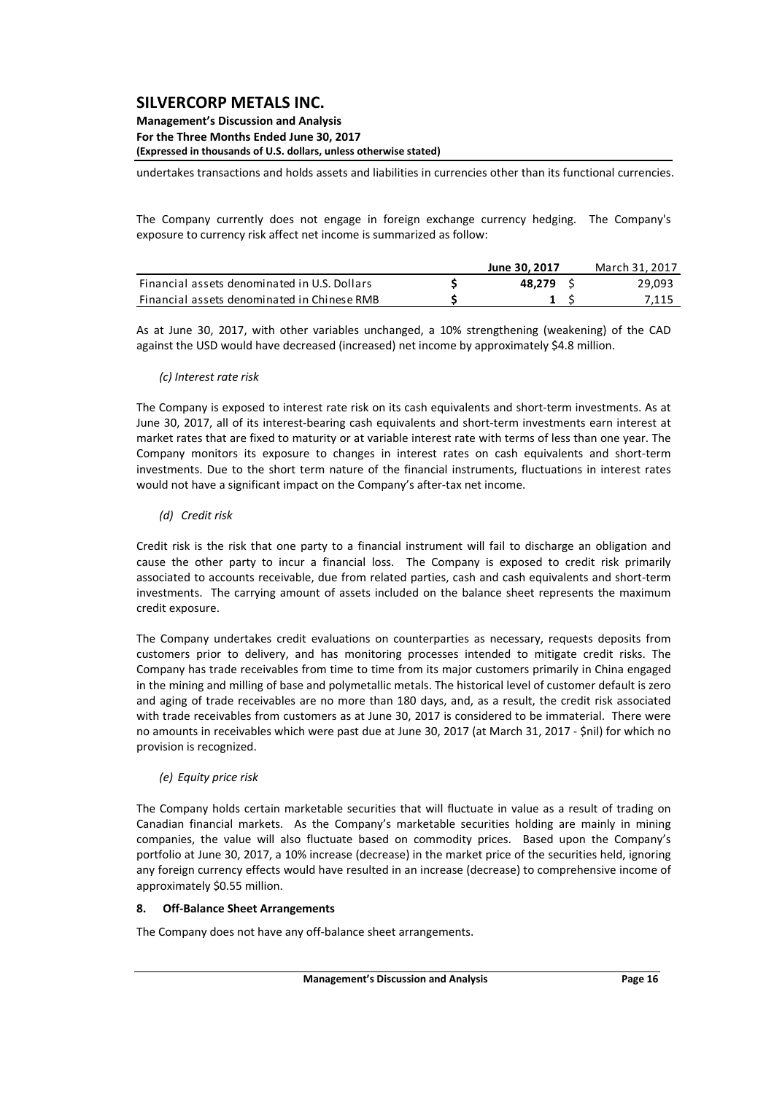#### **Management's Discussion and Analysis For the Three Months Ended June 30, 2017 (Expressed in thousands of U.S. dollars, unless otherwise stated)**

undertakes transactions and holds assets and liabilities in currencies other than its functional currencies.

The Company currently does not engage in foreign exchange currency hedging. The Company's exposure to currency risk affect net income is summarized as follow:

|                                              | June 30, 2017 | March 31, 2017 |
|----------------------------------------------|---------------|----------------|
| Financial assets denominated in U.S. Dollars | 48.279        | 29,093         |
| Financial assets denominated in Chinese RMB  |               | 7,115          |

As at June 30, 2017, with other variables unchanged, a 10% strengthening (weakening) of the CAD against the USD would have decreased (increased) net income by approximately \$4.8 million.

#### *(c) Interest rate risk*

The Company is exposed to interest rate risk on its cash equivalents and short-term investments. As at June 30, 2017, all of its interest‐bearing cash equivalents and short‐term investments earn interest at market rates that are fixed to maturity or at variable interest rate with terms of less than one year. The Company monitors its exposure to changes in interest rates on cash equivalents and short‐term investments. Due to the short term nature of the financial instruments, fluctuations in interest rates would not have a significant impact on the Company's after-tax net income.

#### *(d) Credit risk*

Credit risk is the risk that one party to a financial instrument will fail to discharge an obligation and cause the other party to incur a financial loss. The Company is exposed to credit risk primarily associated to accounts receivable, due from related parties, cash and cash equivalents and short‐term investments. The carrying amount of assets included on the balance sheet represents the maximum credit exposure.

The Company undertakes credit evaluations on counterparties as necessary, requests deposits from customers prior to delivery, and has monitoring processes intended to mitigate credit risks. The Company has trade receivables from time to time from its major customers primarily in China engaged in the mining and milling of base and polymetallic metals. The historical level of customer default is zero and aging of trade receivables are no more than 180 days, and, as a result, the credit risk associated with trade receivables from customers as at June 30, 2017 is considered to be immaterial. There were no amounts in receivables which were past due at June 30, 2017 (at March 31, 2017 ‐ \$nil) for which no provision is recognized.

#### *(e) Equity price risk*

The Company holds certain marketable securities that will fluctuate in value as a result of trading on Canadian financial markets. As the Company's marketable securities holding are mainly in mining companies, the value will also fluctuate based on commodity prices. Based upon the Company's portfolio at June 30, 2017, a 10% increase (decrease) in the market price of the securities held, ignoring any foreign currency effects would have resulted in an increase (decrease) to comprehensive income of approximately \$0.55 million.

#### **8. Off‐Balance Sheet Arrangements**

The Company does not have any off‐balance sheet arrangements.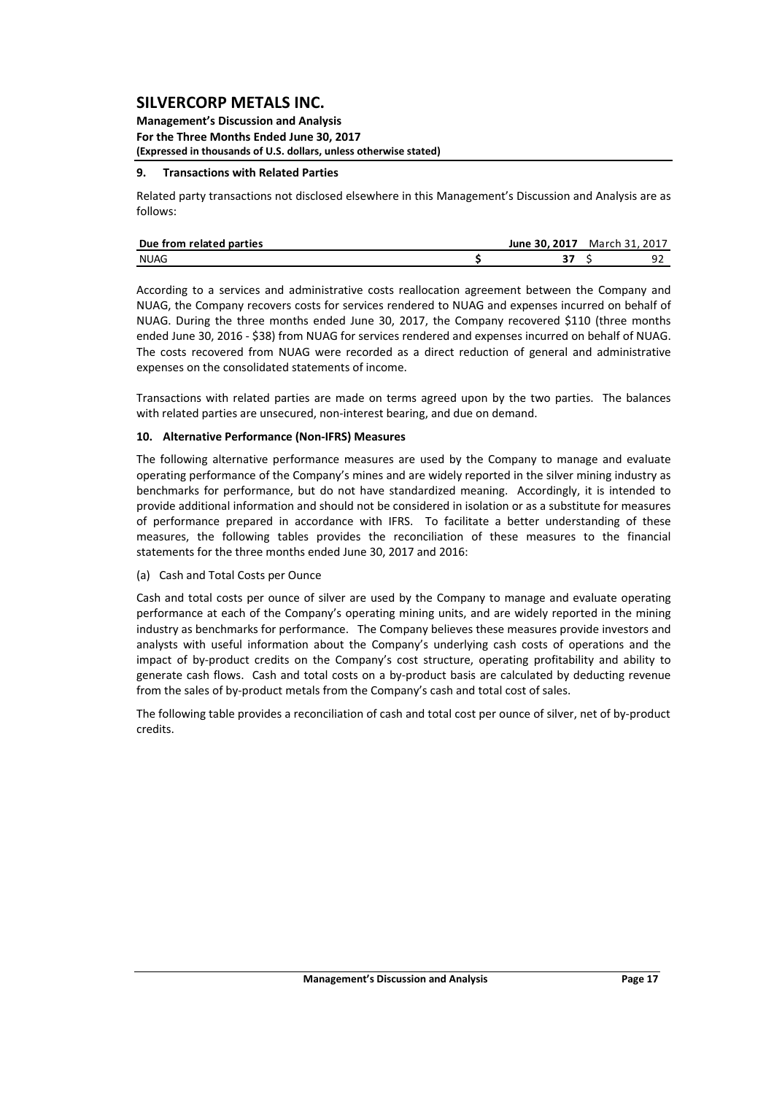**Management's Discussion and Analysis For the Three Months Ended June 30, 2017 (Expressed in thousands of U.S. dollars, unless otherwise stated)**

#### **9. Transactions with Related Parties**

Related party transactions not disclosed elsewhere in this Management's Discussion and Analysis are as follows:

| Due from related parties | June 30. 2017 March 31, 2017 |   |
|--------------------------|------------------------------|---|
| <b>NUAG</b>              |                              | a |

According to a services and administrative costs reallocation agreement between the Company and NUAG, the Company recovers costs for services rendered to NUAG and expenses incurred on behalf of NUAG. During the three months ended June 30, 2017, the Company recovered \$110 (three months ended June 30, 2016 ‐ \$38) from NUAG for services rendered and expenses incurred on behalf of NUAG. The costs recovered from NUAG were recorded as a direct reduction of general and administrative expenses on the consolidated statements of income.

Transactions with related parties are made on terms agreed upon by the two parties. The balances with related parties are unsecured, non-interest bearing, and due on demand.

#### **10. Alternative Performance (Non‐IFRS) Measures**

The following alternative performance measures are used by the Company to manage and evaluate operating performance of the Company's mines and are widely reported in the silver mining industry as benchmarks for performance, but do not have standardized meaning. Accordingly, it is intended to provide additional information and should not be considered in isolation or as a substitute for measures of performance prepared in accordance with IFRS. To facilitate a better understanding of these measures, the following tables provides the reconciliation of these measures to the financial statements for the three months ended June 30, 2017 and 2016:

(a) Cash and Total Costs per Ounce

Cash and total costs per ounce of silver are used by the Company to manage and evaluate operating performance at each of the Company's operating mining units, and are widely reported in the mining industry as benchmarks for performance. The Company believes these measures provide investors and analysts with useful information about the Company's underlying cash costs of operations and the impact of by‐product credits on the Company's cost structure, operating profitability and ability to generate cash flows. Cash and total costs on a by-product basis are calculated by deducting revenue from the sales of by‐product metals from the Company's cash and total cost of sales.

The following table provides a reconciliation of cash and total cost per ounce of silver, net of by‐product credits.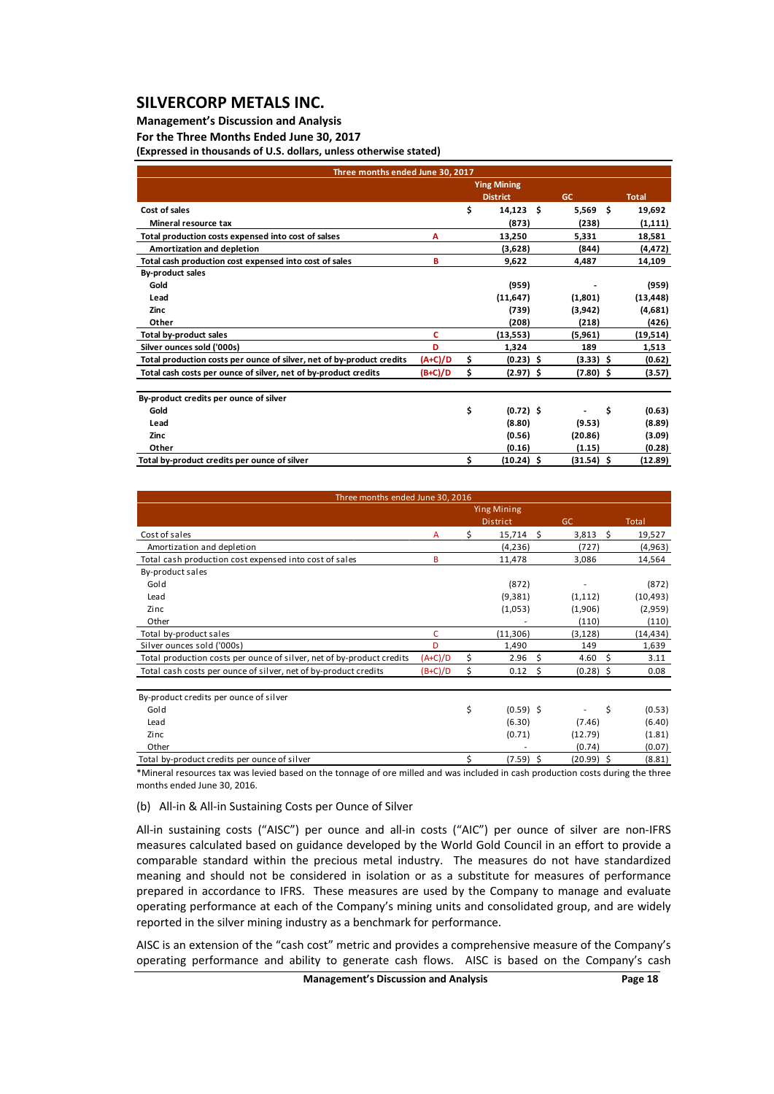## **Management's Discussion and Analysis**

#### **For the Three Months Ended June 30, 2017**

**(Expressed in thousands of U.S. dollars, unless otherwise stated)**

| Three months ended June 30, 2017                                      |           |    |                    |              |              |
|-----------------------------------------------------------------------|-----------|----|--------------------|--------------|--------------|
|                                                                       |           |    | <b>Ying Mining</b> |              |              |
|                                                                       |           |    | <b>District</b>    | <b>GC</b>    | <b>Total</b> |
| Cost of sales                                                         |           | \$ | $14,123$ \$        | $5,569$ \$   | 19,692       |
| Mineral resource tax                                                  |           |    | (873)              | (238)        | (1, 111)     |
| Total production costs expensed into cost of salses                   | Α         |    | 13,250             | 5,331        | 18,581       |
| Amortization and depletion                                            |           |    | (3,628)            | (844)        | (4, 472)     |
| Total cash production cost expensed into cost of sales                | в         |    | 9,622              | 4,487        | 14,109       |
| <b>By-product sales</b>                                               |           |    |                    |              |              |
| Gold                                                                  |           |    | (959)              |              | (959)        |
| Lead                                                                  |           |    | (11,647)           | (1,801)      | (13, 448)    |
| Zinc                                                                  |           |    | (739)              | (3,942)      | (4,681)      |
| Other                                                                 |           |    | (208)              | (218)        | (426)        |
| Total by-product sales                                                | c         |    | (13,553)           | (5,961)      | (19,514)     |
| Silver ounces sold ('000s)                                            | D         |    | 1,324              | 189          | 1,513        |
| Total production costs per ounce of silver, net of by-product credits | $(A+C)/D$ | \$ | $(0.23)$ \$        | $(3.33)$ \$  | (0.62)       |
| Total cash costs per ounce of silver, net of by-product credits       | $(B+C)/D$ | \$ | $(2.97)$ \$        | $(7.80)$ \$  | (3.57)       |
| By-product credits per ounce of silver                                |           |    |                    |              |              |
| Gold                                                                  |           | \$ | $(0.72)$ \$        |              | \$<br>(0.63) |
| Lead                                                                  |           |    | (8.80)             | (9.53)       | (8.89)       |
| Zinc                                                                  |           |    | (0.56)             | (20.86)      | (3.09)       |
| Other                                                                 |           |    | (0.16)             | (1.15)       | (0.28)       |
| Total by-product credits per ounce of silver                          |           | Ś  | $(10.24)$ \$       | $(31.54)$ \$ | (12.89)      |

| Three months ended June 30, 2016                                      |           |                    |              |              |
|-----------------------------------------------------------------------|-----------|--------------------|--------------|--------------|
|                                                                       |           | <b>Ying Mining</b> |              |              |
|                                                                       |           | <b>District</b>    | GC           | <b>Total</b> |
| Cost of sales                                                         | Â         | \$<br>15,714 \$    | 3,813<br>S.  | 19,527       |
| Amortization and depletion                                            |           | (4, 236)           | (727)        | (4,963)      |
| Total cash production cost expensed into cost of sales                | в         | 11,478             | 3,086        | 14,564       |
| By-product sales                                                      |           |                    |              |              |
| Gold                                                                  |           | (872)              |              | (872)        |
| Lead                                                                  |           | (9, 381)           | (1, 112)     | (10, 493)    |
| Zinc                                                                  |           | (1,053)            | (1,906)      | (2,959)      |
| Other                                                                 |           |                    | (110)        | (110)        |
| Total by-product sales                                                | C         | (11, 306)          | (3, 128)     | (14, 434)    |
| Silver ounces sold ('000s)                                            | D         | 1,490              | 149          | 1,639        |
| Total production costs per ounce of silver, net of by-product credits | $(A+C)/D$ | \$<br>2.96<br>\$.  | 4.60<br>- Ś  | 3.11         |
| Total cash costs per ounce of silver, net of by-product credits       | $(B+C)/D$ | \$<br>0.12<br>Ŝ.   | $(0.28)$ \$  | 0.08         |
| By-product credits per ounce of silver                                |           |                    |              |              |
| Gold                                                                  |           | \$<br>$(0.59)$ \$  | \$           | (0.53)       |
| Lead                                                                  |           | (6.30)             | (7.46)       | (6.40)       |
| Zinc                                                                  |           | (0.71)             | (12.79)      | (1.81)       |
| Other                                                                 |           |                    | (0.74)       | (0.07)       |
| Total by-product credits per ounce of silver                          |           | \$<br>$(7.59)$ \$  | $(20.99)$ \$ | (8.81)       |

\*Mineral resources tax was levied based on the tonnage of ore milled and was included in cash production costs during the three months ended June 30, 2016.

#### (b) All‐in & All‐in Sustaining Costs per Ounce of Silver

All-in sustaining costs ("AISC") per ounce and all-in costs ("AIC") per ounce of silver are non-IFRS measures calculated based on guidance developed by the World Gold Council in an effort to provide a comparable standard within the precious metal industry. The measures do not have standardized meaning and should not be considered in isolation or as a substitute for measures of performance prepared in accordance to IFRS. These measures are used by the Company to manage and evaluate operating performance at each of the Company's mining units and consolidated group, and are widely reported in the silver mining industry as a benchmark for performance.

AISC is an extension of the "cash cost" metric and provides a comprehensive measure of the Company's operating performance and ability to generate cash flows. AISC is based on the Company's cash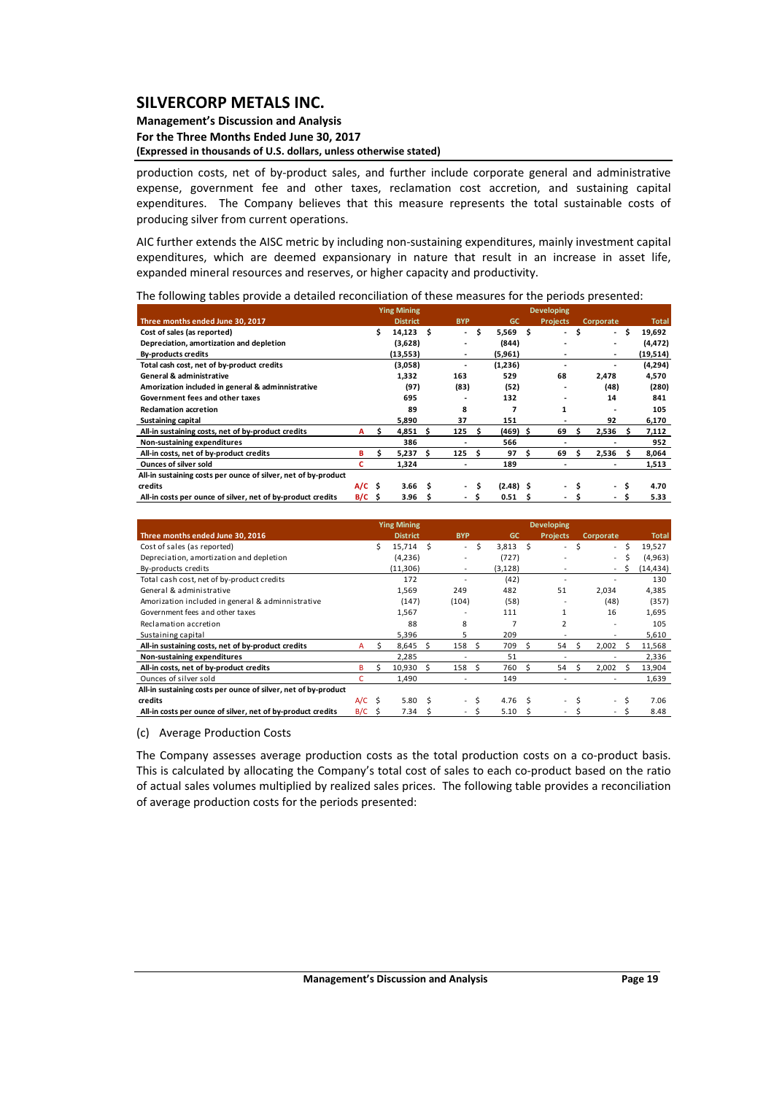#### **Management's Discussion and Analysis For the Three Months Ended June 30, 2017 (Expressed in thousands of U.S. dollars, unless otherwise stated)**

production costs, net of by-product sales, and further include corporate general and administrative expense, government fee and other taxes, reclamation cost accretion, and sustaining capital expenditures. The Company believes that this measure represents the total sustainable costs of producing silver from current operations.

AIC further extends the AISC metric by including non‐sustaining expenditures, mainly investment capital expenditures, which are deemed expansionary in nature that result in an increase in asset life, expanded mineral resources and reserves, or higher capacity and productivity.

The following tables provide a detailed reconciliation of these measures for the periods presented:

|                                                                |          |   | <b>Ying Mining</b> |   |                          |     |             |    | <b>Developing</b> |      |                |      |              |
|----------------------------------------------------------------|----------|---|--------------------|---|--------------------------|-----|-------------|----|-------------------|------|----------------|------|--------------|
| Three months ended June 30, 2017                               |          |   | <b>District</b>    |   | <b>BYP</b>               |     | GC          |    | <b>Projects</b>   |      | Corporate      |      | <b>Total</b> |
| Cost of sales (as reported)                                    |          | s | $14,123$ \$        |   | $\sim$                   | \$. | $5,569$ \$  |    | ۰.                | - \$ |                | - \$ | 19,692       |
| Depreciation, amortization and depletion                       |          |   | (3,628)            |   |                          |     | (844)       |    |                   |      |                |      | (4, 472)     |
| <b>By-products credits</b>                                     |          |   | (13,553)           |   | ٠                        |     | (5,961)     |    |                   |      | ٠              |      | (19,514)     |
| Total cash cost, net of by-product credits                     |          |   | (3,058)            |   |                          |     | (1,236)     |    | -                 |      |                |      | (4,294)      |
| <b>General &amp; administrative</b>                            |          |   | 1,332              |   | 163                      |     | 529         |    | 68                |      | 2,478          |      | 4,570        |
| Amorization included in general & adminnistrative              |          |   | (97)               |   | (83)                     |     | (52)        |    |                   |      | (48)           |      | (280)        |
| Government fees and other taxes                                |          |   | 695                |   |                          |     | 132         |    |                   |      | 14             |      | 841          |
| <b>Reclamation accretion</b>                                   |          |   | 89                 |   | 8                        |     | 7           |    | 1                 |      |                |      | 105          |
| <b>Sustaining capital</b>                                      |          |   | 5,890              |   | 37                       |     | 151         |    |                   |      | 92             |      | 6,170        |
| All-in sustaining costs, net of by-product credits             | A        | s | 4,851              |   | 125                      |     | (469) \$    |    | 69                |      | 2,536          |      | 7,112        |
| Non-sustaining expenditures                                    |          |   | 386                |   |                          |     | 566         |    |                   |      |                |      | 952          |
| All-in costs, net of by-product credits                        | в        | s | $5,237$ \$         |   | 125 <sub>5</sub>         |     | 97          | S  | 69                | s    | 2,536          | -S   | 8,064        |
| <b>Ounces of silver sold</b>                                   | с        |   | 1,324              |   |                          |     | 189         |    |                   |      |                |      | 1,513        |
| All-in sustaining costs per ounce of silver, net of by-product |          |   |                    |   |                          |     |             |    |                   |      |                |      |              |
| credits                                                        | $A/C$ \$ |   | 3.66               | S | $\overline{\phantom{a}}$ | Ś.  | $(2.48)$ \$ |    | ۰.                | Ŝ    | $\overline{a}$ | S    | 4.70         |
| All-in costs per ounce of silver, net of by-product credits    | $B/C$ \$ |   | 3.96               | s | $\sim$                   |     | 0.51        | -S | ۰.                |      | $\sim$         | .s   | 5.33         |

|                                                                |          |    | <b>Ying Mining</b> |    |                          |    |          |    | <b>Developing</b>        |   |                          |   |              |
|----------------------------------------------------------------|----------|----|--------------------|----|--------------------------|----|----------|----|--------------------------|---|--------------------------|---|--------------|
| Three months ended June 30, 2016                               |          |    | <b>District</b>    |    | <b>BYP</b>               |    | GC       |    | <b>Projects</b>          |   | Corporate                |   | <b>Total</b> |
| Cost of sales (as reported)                                    |          |    | $15,714$ \$        |    | $\overline{\phantom{a}}$ | S  | 3,813    | -S | $\overline{\phantom{a}}$ | Ś | $\sim$                   | Ś | 19,527       |
| Depreciation, amortization and depletion                       |          |    | (4,236)            |    |                          |    | (727)    |    |                          |   | $\sim$                   | ς | (4, 963)     |
| By-products credits                                            |          |    | (11, 306)          |    |                          |    | (3, 128) |    |                          |   | $\sim$                   | S | (14,434)     |
| Total cash cost, net of by-product credits                     |          |    | 172                |    |                          |    | (42)     |    |                          |   |                          |   | 130          |
| General & administrative                                       |          |    | 1,569              |    | 249                      |    | 482      |    | 51                       |   | 2,034                    |   | 4.385        |
| Amorization included in general & adminnistrative              |          |    | (147)              |    | (104)                    |    | (58)     |    |                          |   | (48)                     |   | (357)        |
| Government fees and other taxes                                |          |    | 1,567              |    |                          |    | 111      |    | $\mathbf{1}$             |   | 16                       |   | 1.695        |
| Reclamation accretion                                          |          |    | 88                 |    | 8                        |    | 7        |    | $\overline{2}$           |   |                          |   | 105          |
| Sustaining capital                                             |          |    | 5,396              |    | 5.                       |    | 209      |    |                          |   |                          |   | 5,610        |
| All-in sustaining costs, net of by-product credits             | A        |    | 8,645              |    | 158                      |    | 709      |    | 54                       |   | 2.002                    | ς | 11,568       |
| Non-sustaining expenditures                                    |          |    | 2.285              |    |                          |    | 51       |    |                          |   |                          |   | 2,336        |
| All-in costs, net of by-product credits                        | в        | Ś. | 10.930             | S  | 158                      | S, | 760      |    | 54                       |   | 2.002                    |   | 13,904       |
| Ounces of silver sold                                          |          |    | 1.490              |    |                          |    | 149      |    |                          |   |                          |   | 1,639        |
| All-in sustaining costs per ounce of silver, net of by-product |          |    |                    |    |                          |    |          |    |                          |   |                          |   |              |
| credits                                                        | $A/C$ \$ |    | 5.80               | -S | $\overline{\phantom{0}}$ | S  | 4.76     |    |                          |   | $\overline{\phantom{a}}$ |   | 7.06         |
| All-in costs per ounce of silver, net of by-product credits    | B/C      | -S | 7.34               |    |                          |    | 5.10     |    |                          |   |                          |   | 8.48         |

(c) Average Production Costs

The Company assesses average production costs as the total production costs on a co-product basis. This is calculated by allocating the Company's total cost of sales to each co-product based on the ratio of actual sales volumes multiplied by realized sales prices. The following table provides a reconciliation of average production costs for the periods presented: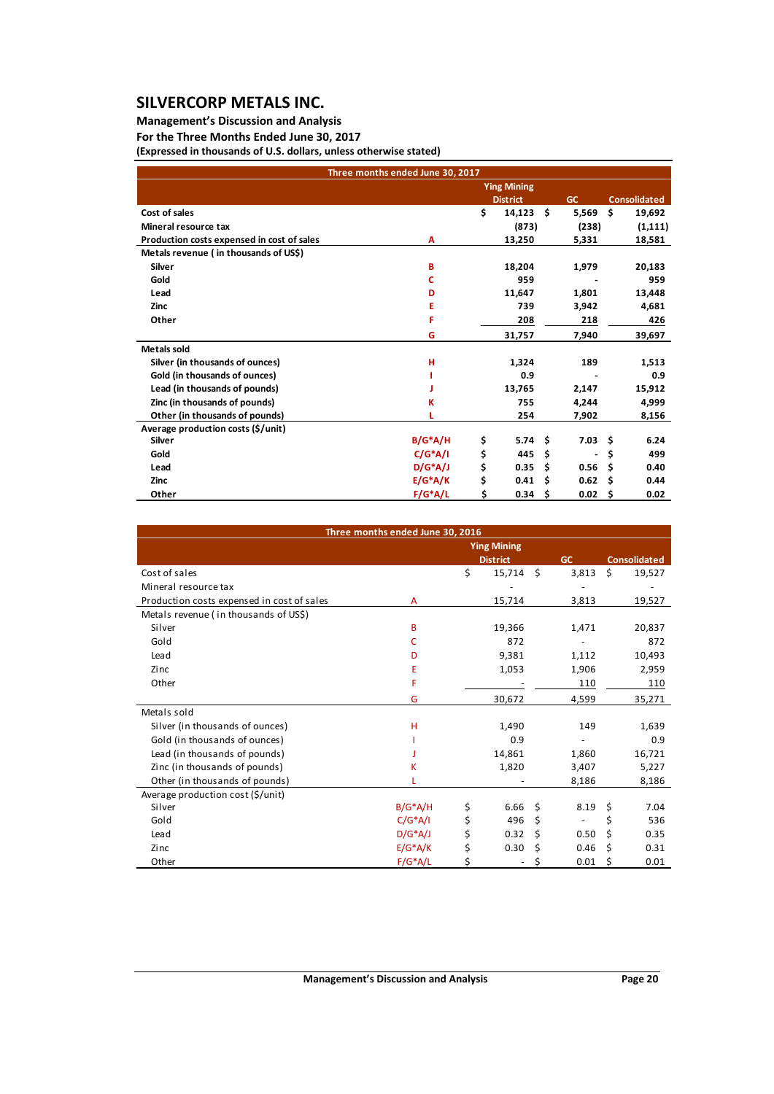## **Management's Discussion and Analysis**

## **For the Three Months Ended June 30, 2017**

**(Expressed in thousands of U.S. dollars, unless otherwise stated)**

| Three months ended June 30, 2017           |            |    |                    |      |                |    |                     |
|--------------------------------------------|------------|----|--------------------|------|----------------|----|---------------------|
|                                            |            |    | <b>Ying Mining</b> |      |                |    |                     |
|                                            |            |    | <b>District</b>    |      | GC             |    | <b>Consolidated</b> |
| Cost of sales                              |            | \$ | 14,123             | - \$ | 5,569          | Ś. | 19,692              |
| Mineral resource tax                       |            |    | (873)              |      | (238)          |    | (1, 111)            |
| Production costs expensed in cost of sales | Α          |    | 13,250             |      | 5,331          |    | 18,581              |
| Metals revenue (in thousands of US\$)      |            |    |                    |      |                |    |                     |
| <b>Silver</b>                              | в          |    | 18,204             |      | 1,979          |    | 20,183              |
| Gold                                       | c          |    | 959                |      |                |    | 959                 |
| Lead                                       | D          |    | 11,647             |      | 1,801          |    | 13,448              |
| <b>Zinc</b>                                | Ε          |    | 739                |      | 3,942          |    | 4,681               |
| Other                                      | F          |    | 208                |      | 218            |    | 426                 |
|                                            | G          |    | 31,757             |      | 7,940          |    | 39,697              |
| <b>Metals sold</b>                         |            |    |                    |      |                |    |                     |
| Silver (in thousands of ounces)            | н          |    | 1,324              |      | 189            |    | 1,513               |
| Gold (in thousands of ounces)              |            |    | 0.9                |      |                |    | 0.9                 |
| Lead (in thousands of pounds)              |            |    | 13,765             |      | 2,147          |    | 15,912              |
| Zinc (in thousands of pounds)              | К          |    | 755                |      | 4,244          |    | 4,999               |
| Other (in thousands of pounds)             |            |    | 254                |      | 7,902          |    | 8,156               |
| Average production costs (\$/unit)         |            |    |                    |      |                |    |                     |
| <b>Silver</b>                              | $B/G^*A/H$ | \$ | 5.74               | Ŝ.   | $7.03 \quad $$ |    | 6.24                |
| Gold                                       | $C/G^*A/I$ | \$ | 445                | Ś    |                | \$ | 499                 |
| Lead                                       | $D/G^*A/J$ | \$ | 0.35               | Ś    | 0.56           | Ŝ  | 0.40                |
| Zinc                                       | $E/G^*A/K$ | \$ | 0.41               | Ś    | 0.62           | Ŝ  | 0.44                |
| Other                                      | $F/G^*A/L$ | \$ | 0.34               | Ŝ    | 0.02           | S  | 0.02                |

|                                            | Three months ended June 30, 2016 |                    |    |       |                     |
|--------------------------------------------|----------------------------------|--------------------|----|-------|---------------------|
|                                            |                                  | <b>Ying Mining</b> |    |       |                     |
|                                            |                                  | <b>District</b>    |    | GC    | <b>Consolidated</b> |
| Cost of sales                              |                                  | \$<br>15,714       | Ŝ. | 3,813 | \$<br>19,527        |
| Mineral resource tax                       |                                  |                    |    |       |                     |
| Production costs expensed in cost of sales | A                                | 15,714             |    | 3,813 | 19,527              |
| Metals revenue (in thousands of US\$)      |                                  |                    |    |       |                     |
| Silver                                     | B                                | 19,366             |    | 1,471 | 20,837              |
| Gold                                       | C                                | 872                |    |       | 872                 |
| Lead                                       | D                                | 9,381              |    | 1,112 | 10,493              |
| Zinc                                       | Е                                | 1,053              |    | 1,906 | 2,959               |
| Other                                      | F                                |                    |    | 110   | 110                 |
|                                            | G                                | 30,672             |    | 4,599 | 35,271              |
| Metals sold                                |                                  |                    |    |       |                     |
| Silver (in thousands of ounces)            | н                                | 1,490              |    | 149   | 1,639               |
| Gold (in thousands of ounces)              |                                  | 0.9                |    |       | 0.9                 |
| Lead (in thousands of pounds)              |                                  | 14,861             |    | 1,860 | 16,721              |
| Zinc (in thousands of pounds)              | Κ                                | 1,820              |    | 3,407 | 5,227               |
| Other (in thousands of pounds)             |                                  |                    |    | 8,186 | 8,186               |
| Average production cost (\$/unit)          |                                  |                    |    |       |                     |
| Silver                                     | $B/G^*A/H$                       | \$<br>6.66         | Ŝ. | 8.19  | \$<br>7.04          |
| Gold                                       | $C/G^*A/I$                       | \$<br>496          | \$ |       | \$<br>536           |
| Lead                                       | $D/G^*A/J$                       | \$<br>0.32         | \$ | 0.50  | \$<br>0.35          |
| Zinc                                       | $E/G^*A/K$                       | \$<br>0.30         | \$ | 0.46  | \$<br>0.31          |
| Other                                      | $F/G^*A/L$                       |                    | \$ | 0.01  | \$<br>0.01          |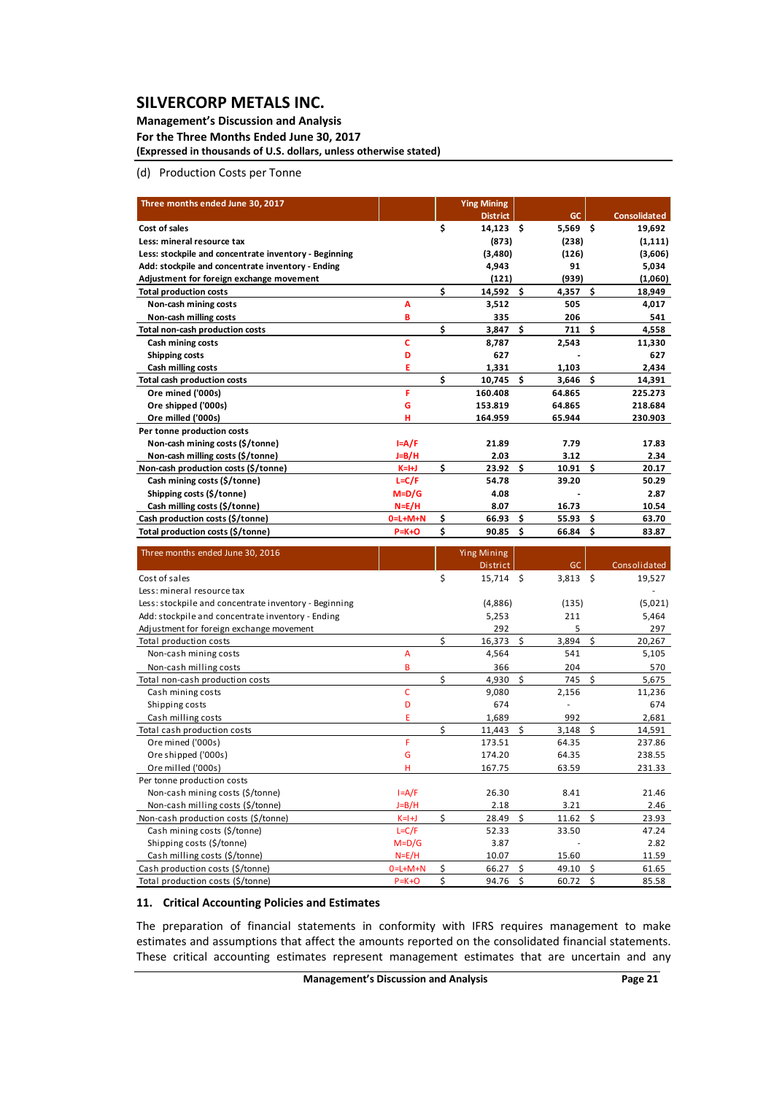#### **Management's Discussion and Analysis For the Three Months Ended June 30, 2017**

**(Expressed in thousands of U.S. dollars, unless otherwise stated)**

(d) Production Costs per Tonne

| Three months ended June 30, 2017                                      |                          |          | <b>Ying Mining</b>                    |          |                |          |                     |
|-----------------------------------------------------------------------|--------------------------|----------|---------------------------------------|----------|----------------|----------|---------------------|
|                                                                       |                          |          | <b>District</b>                       |          | <b>GC</b>      |          | <b>Consolidated</b> |
| Cost of sales                                                         |                          | \$       | $14,123$ \$                           |          | $5,569$ \$     |          | 19,692              |
| Less: mineral resource tax                                            |                          |          | (873)                                 |          | (238)          |          | (1, 111)            |
| Less: stockpile and concentrate inventory - Beginning                 |                          |          | (3,480)                               |          | (126)          |          | (3,606)             |
| Add: stockpile and concentrate inventory - Ending                     |                          |          | 4,943                                 |          | 91             |          | 5,034               |
| Adjustment for foreign exchange movement                              |                          |          | (121)                                 |          | (939)          |          | (1,060)             |
| <b>Total production costs</b>                                         |                          | \$       | 14,592                                | \$       | 4,357          | \$       | 18,949              |
| Non-cash mining costs                                                 | A                        |          | 3,512                                 |          | 505            |          | 4,017               |
| Non-cash milling costs                                                | B                        |          | 335                                   |          | 206            |          | 541                 |
| Total non-cash production costs                                       |                          | \$       | $3,847$ \$                            |          | 711            | - \$     | 4,558               |
| Cash mining costs                                                     | c                        |          | 8,787                                 |          | 2,543          |          | 11,330              |
| <b>Shipping costs</b>                                                 | D                        |          | 627                                   |          |                |          | 627                 |
| Cash milling costs                                                    | E                        |          | 1,331                                 |          | 1,103          |          | 2,434               |
| <b>Total cash production costs</b>                                    |                          | \$       | 10,745                                | \$       | 3,646          | Ŝ.       | 14,391              |
| Ore mined ('000s)                                                     | F                        |          | 160.408                               |          | 64.865         |          | 225.273             |
| Ore shipped ('000s)                                                   | G                        |          | 153.819                               |          | 64.865         |          | 218.684             |
| Ore milled ('000s)                                                    | н                        |          | 164.959                               |          | 65.944         |          | 230.903             |
| Per tonne production costs                                            |                          |          |                                       |          |                |          |                     |
| Non-cash mining costs (\$/tonne)                                      | $I = A/F$                |          | 21.89                                 |          | 7.79           |          | 17.83               |
| Non-cash milling costs (\$/tonne)                                     | J=B/H                    |          | 2.03                                  |          | 3.12           |          | 2.34                |
| Non-cash production costs (\$/tonne)                                  | $K=H$                    | \$       | 23.92                                 | \$       | 10.91          | \$       | 20.17               |
| Cash mining costs (\$/tonne)                                          | $L = C/F$                |          | 54.78                                 |          | 39.20          |          | 50.29               |
| Shipping costs (\$/tonne)                                             | $M=D/G$                  |          | 4.08                                  |          |                |          | 2.87                |
| Cash milling costs (\$/tonne)                                         | $N = E/H$                |          | 8.07                                  |          | 16.73          |          | 10.54               |
| Cash production costs (\$/tonne)                                      | $0 = L + M + N$          | \$       | 66.93                                 | \$       | 55.93          | \$       | 63.70               |
| Total production costs (\$/tonne)                                     | $P = K + O$              | \$       | 90.85                                 | \$       | 66.84          | \$       | 83.87               |
|                                                                       |                          |          |                                       |          |                |          |                     |
|                                                                       |                          |          |                                       |          |                |          |                     |
| Three months ended June 30, 2016                                      |                          |          | <b>Ying Mining</b><br><b>District</b> |          | GC             |          | Consolidated        |
| Cost of sales                                                         |                          | \$       | $15,714$ \$                           |          | $3,813$ \$     |          | 19,527              |
| Less: mineral resource tax                                            |                          |          |                                       |          |                |          |                     |
| Less: stockpile and concentrate inventory - Beginning                 |                          |          | (4,886)                               |          | (135)          |          | (5,021)             |
| Add: stockpile and concentrate inventory - Ending                     |                          |          | 5,253                                 |          | 211            |          | 5,464               |
| Adjustment for foreign exchange movement                              |                          |          | 292                                   |          | 5              |          | 297                 |
| Total production costs                                                |                          | \$       | 16,373                                | -\$      | 3,894          | \$       | 20,267              |
| Non-cash mining costs                                                 | A                        |          | 4,564                                 |          | 541            |          | 5,105               |
| Non-cash milling costs                                                | B                        |          | 366                                   |          | 204            |          | 570                 |
| Total non-cash production costs                                       |                          | \$       | 4,930                                 | -\$      | 745            | \$       | 5,675               |
| Cash mining costs                                                     | C                        |          | 9,080                                 |          | 2,156          |          | 11,236              |
| Shipping costs                                                        | D                        |          | 674                                   |          | ÷,             |          | 674                 |
| Cash milling costs                                                    | E                        |          | 1,689                                 |          | 992            |          | 2,681               |
| Total cash production costs                                           |                          | \$       | 11,443                                | \$       | 3,148          | \$       | 14,591              |
| Ore mined ('000s)                                                     | F                        |          | 173.51                                |          | 64.35          |          | 237.86              |
| Ore shipped ('000s)                                                   | Ġ                        |          | 174.20                                |          | 64.35          |          | 238.55              |
| Ore milled ('000s)                                                    | н                        |          | 167.75                                |          | 63.59          |          | 231.33              |
| Per tonne production costs                                            |                          |          |                                       |          |                |          |                     |
| Non-cash mining costs (\$/tonne)                                      | $I = A/F$                |          | 26.30                                 |          | 8.41           |          | 21.46               |
| Non-cash milling costs (\$/tonne)                                     | $J=B/H$                  |          | 2.18                                  |          | 3.21           |          | 2.46                |
| Non-cash production costs (\$/tonne)                                  | $K=I+J$                  | \$       | 28.49                                 | \$       | 11.62          | \$       | 23.93               |
| Cash mining costs (\$/tonne)                                          | $L = C/F$                |          | 52.33                                 |          | 33.50          |          | 47.24               |
| Shipping costs (\$/tonne)                                             | $M=D/G$                  |          | 3.87                                  |          |                |          | 2.82                |
| Cash milling costs (\$/tonne)                                         | $N=E/H$                  |          | 10.07                                 |          | 15.60          |          | 11.59               |
| Cash production costs (\$/tonne)<br>Total production costs (\$/tonne) | $0=L+M+N$<br>$P = K + O$ | \$<br>\$ | 66.27<br>94.76                        | \$<br>\$ | 49.10<br>60.72 | \$<br>\$ | 61.65<br>85.58      |

## **11. Critical Accounting Policies and Estimates**

The preparation of financial statements in conformity with IFRS requires management to make estimates and assumptions that affect the amounts reported on the consolidated financial statements. These critical accounting estimates represent management estimates that are uncertain and any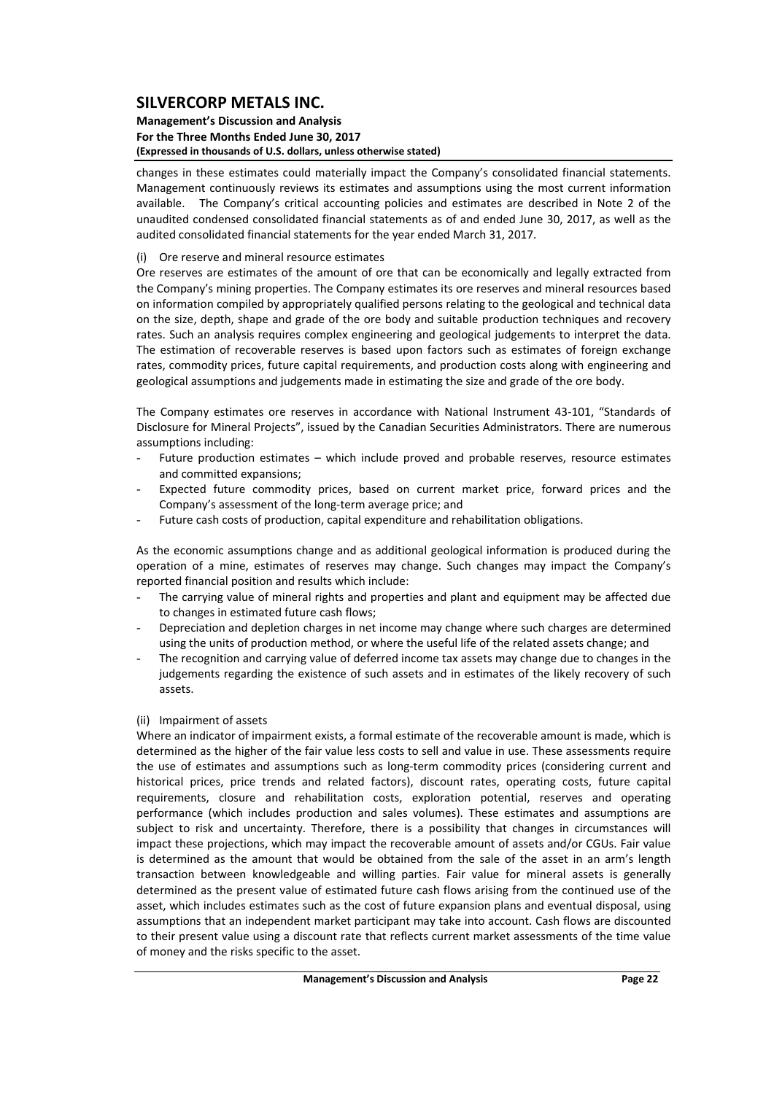#### **Management's Discussion and Analysis For the Three Months Ended June 30, 2017 (Expressed in thousands of U.S. dollars, unless otherwise stated)**

changes in these estimates could materially impact the Company's consolidated financial statements. Management continuously reviews its estimates and assumptions using the most current information available. The Company's critical accounting policies and estimates are described in Note 2 of the unaudited condensed consolidated financial statements as of and ended June 30, 2017, as well as the audited consolidated financial statements for the year ended March 31, 2017.

## (i) Ore reserve and mineral resource estimates

Ore reserves are estimates of the amount of ore that can be economically and legally extracted from the Company's mining properties. The Company estimates its ore reserves and mineral resources based on information compiled by appropriately qualified persons relating to the geological and technical data on the size, depth, shape and grade of the ore body and suitable production techniques and recovery rates. Such an analysis requires complex engineering and geological judgements to interpret the data. The estimation of recoverable reserves is based upon factors such as estimates of foreign exchange rates, commodity prices, future capital requirements, and production costs along with engineering and geological assumptions and judgements made in estimating the size and grade of the ore body.

The Company estimates ore reserves in accordance with National Instrument 43‐101, "Standards of Disclosure for Mineral Projects", issued by the Canadian Securities Administrators. There are numerous assumptions including:

- Future production estimates which include proved and probable reserves, resource estimates and committed expansions;
- Expected future commodity prices, based on current market price, forward prices and the Company's assessment of the long‐term average price; and
- Future cash costs of production, capital expenditure and rehabilitation obligations.

As the economic assumptions change and as additional geological information is produced during the operation of a mine, estimates of reserves may change. Such changes may impact the Company's reported financial position and results which include:

- The carrying value of mineral rights and properties and plant and equipment may be affected due to changes in estimated future cash flows;
- Depreciation and depletion charges in net income may change where such charges are determined using the units of production method, or where the useful life of the related assets change; and
- The recognition and carrying value of deferred income tax assets may change due to changes in the judgements regarding the existence of such assets and in estimates of the likely recovery of such assets.

#### (ii) Impairment of assets

Where an indicator of impairment exists, a formal estimate of the recoverable amount is made, which is determined as the higher of the fair value less costs to sell and value in use. These assessments require the use of estimates and assumptions such as long-term commodity prices (considering current and historical prices, price trends and related factors), discount rates, operating costs, future capital requirements, closure and rehabilitation costs, exploration potential, reserves and operating performance (which includes production and sales volumes). These estimates and assumptions are subject to risk and uncertainty. Therefore, there is a possibility that changes in circumstances will impact these projections, which may impact the recoverable amount of assets and/or CGUs. Fair value is determined as the amount that would be obtained from the sale of the asset in an arm's length transaction between knowledgeable and willing parties. Fair value for mineral assets is generally determined as the present value of estimated future cash flows arising from the continued use of the asset, which includes estimates such as the cost of future expansion plans and eventual disposal, using assumptions that an independent market participant may take into account. Cash flows are discounted to their present value using a discount rate that reflects current market assessments of the time value of money and the risks specific to the asset.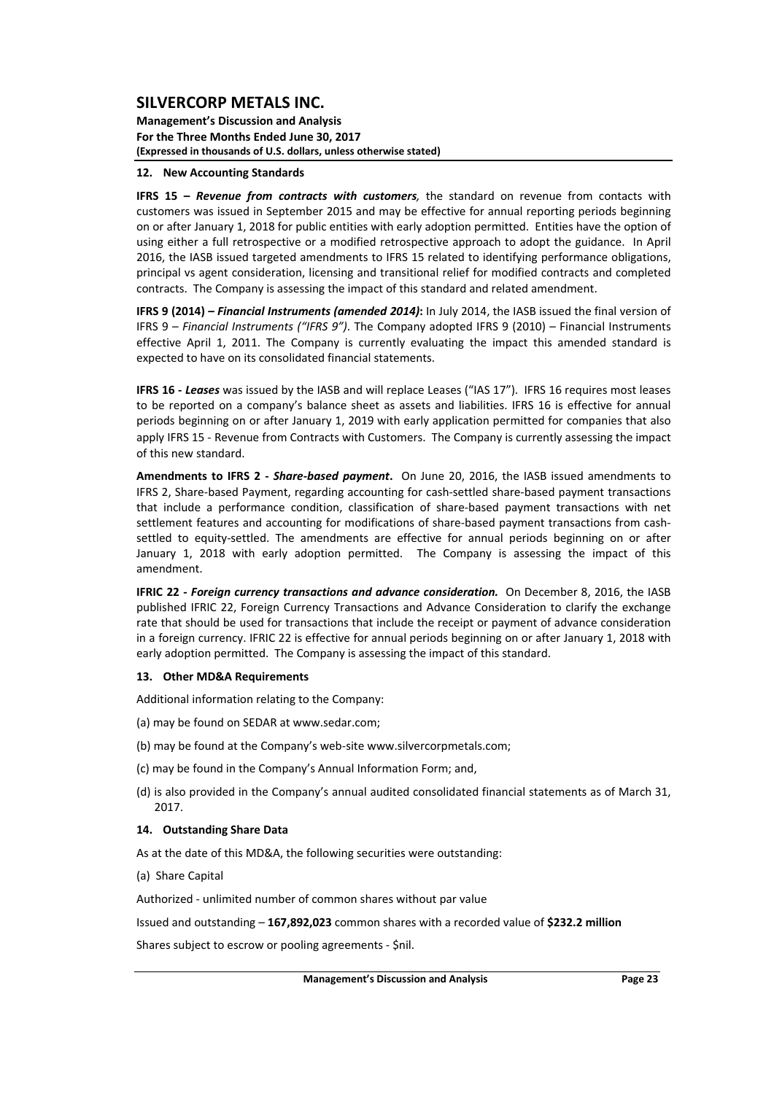**Management's Discussion and Analysis For the Three Months Ended June 30, 2017 (Expressed in thousands of U.S. dollars, unless otherwise stated)**

#### **12. New Accounting Standards**

**IFRS 15 –** *Revenue from contracts with customers,* the standard on revenue from contacts with customers was issued in September 2015 and may be effective for annual reporting periods beginning on or after January 1, 2018 for public entities with early adoption permitted. Entities have the option of using either a full retrospective or a modified retrospective approach to adopt the guidance. In April 2016, the IASB issued targeted amendments to IFRS 15 related to identifying performance obligations, principal vs agent consideration, licensing and transitional relief for modified contracts and completed contracts. The Company is assessing the impact of this standard and related amendment.

**IFRS 9 (2014) –** *Financial Instruments (amended 2014)***:** In July 2014, the IASB issued the final version of IFRS 9 – *Financial Instruments ("IFRS 9")*. The Company adopted IFRS 9 (2010) – Financial Instruments effective April 1, 2011. The Company is currently evaluating the impact this amended standard is expected to have on its consolidated financial statements.

**IFRS 16 ‐** *Leases* was issued by the IASB and will replace Leases ("IAS 17"). IFRS 16 requires most leases to be reported on a company's balance sheet as assets and liabilities. IFRS 16 is effective for annual periods beginning on or after January 1, 2019 with early application permitted for companies that also apply IFRS 15 - Revenue from Contracts with Customers. The Company is currently assessing the impact of this new standard.

**Amendments to IFRS 2 ‐**  *Share‐based payment***.** On June 20, 2016, the IASB issued amendments to IFRS 2, Share‐based Payment, regarding accounting for cash‐settled share‐based payment transactions that include a performance condition, classification of share‐based payment transactions with net settlement features and accounting for modifications of share-based payment transactions from cashsettled to equity‐settled. The amendments are effective for annual periods beginning on or after January 1, 2018 with early adoption permitted. The Company is assessing the impact of this amendment.

**IFRIC 22 ‐** *Foreign currency transactions and advance consideration.* On December 8, 2016, the IASB published IFRIC 22, Foreign Currency Transactions and Advance Consideration to clarify the exchange rate that should be used for transactions that include the receipt or payment of advance consideration in a foreign currency. IFRIC 22 is effective for annual periods beginning on or after January 1, 2018 with early adoption permitted. The Company is assessing the impact of this standard.

#### **13. Other MD&A Requirements**

Additional information relating to the Company:

- (a) may be found on SEDAR at www.sedar.com;
- (b) may be found at the Company's web‐site www.silvercorpmetals.com;
- (c) may be found in the Company's Annual Information Form; and,
- (d) is also provided in the Company's annual audited consolidated financial statements as of March 31, 2017.

#### **14. Outstanding Share Data**

As at the date of this MD&A, the following securities were outstanding:

(a) Share Capital

Authorized ‐ unlimited number of common shares without par value

Issued and outstanding – **167,892,023** common shares with a recorded value of **\$232.2 million**

Shares subject to escrow or pooling agreements ‐ \$nil.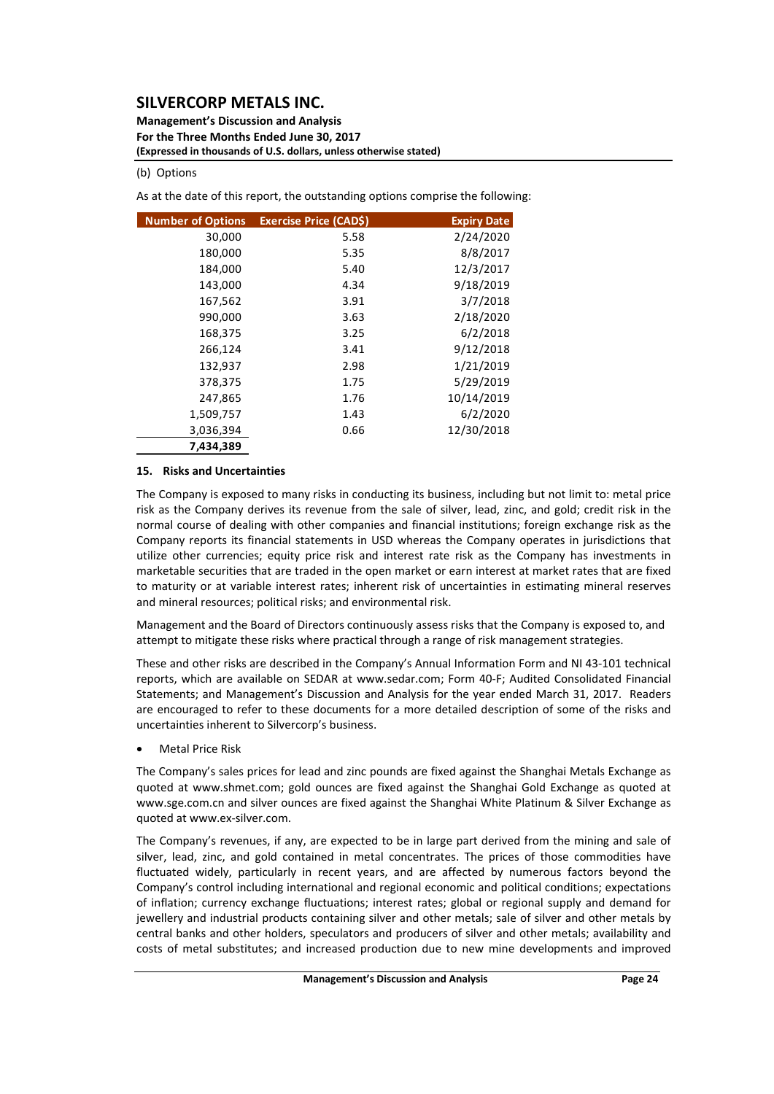**Management's Discussion and Analysis For the Three Months Ended June 30, 2017 (Expressed in thousands of U.S. dollars, unless otherwise stated)**

#### (b) Options

As at the date of this report, the outstanding options comprise the following:

| <b>Number of Options</b> | <b>Exercise Price (CADS)</b> | <b>Expiry Date</b> |
|--------------------------|------------------------------|--------------------|
| 30,000                   | 5.58                         | 2/24/2020          |
| 180,000                  | 5.35                         | 8/8/2017           |
| 184,000                  | 5.40                         | 12/3/2017          |
| 143,000                  | 4.34                         | 9/18/2019          |
| 167,562                  | 3.91                         | 3/7/2018           |
| 990,000                  | 3.63                         | 2/18/2020          |
| 168,375                  | 3.25                         | 6/2/2018           |
| 266,124                  | 3.41                         | 9/12/2018          |
| 132,937                  | 2.98                         | 1/21/2019          |
| 378,375                  | 1.75                         | 5/29/2019          |
| 247,865                  | 1.76                         | 10/14/2019         |
| 1,509,757                | 1.43                         | 6/2/2020           |
| 3,036,394                | 0.66                         | 12/30/2018         |
| 7,434,389                |                              |                    |

#### **15. Risks and Uncertainties**

The Company is exposed to many risks in conducting its business, including but not limit to: metal price risk as the Company derives its revenue from the sale of silver, lead, zinc, and gold; credit risk in the normal course of dealing with other companies and financial institutions; foreign exchange risk as the Company reports its financial statements in USD whereas the Company operates in jurisdictions that utilize other currencies; equity price risk and interest rate risk as the Company has investments in marketable securities that are traded in the open market or earn interest at market rates that are fixed to maturity or at variable interest rates; inherent risk of uncertainties in estimating mineral reserves and mineral resources; political risks; and environmental risk.

Management and the Board of Directors continuously assess risks that the Company is exposed to, and attempt to mitigate these risks where practical through a range of risk management strategies.

These and other risks are described in the Company's Annual Information Form and NI 43‐101 technical reports, which are available on SEDAR at www.sedar.com; Form 40‐F; Audited Consolidated Financial Statements; and Management's Discussion and Analysis for the year ended March 31, 2017. Readers are encouraged to refer to these documents for a more detailed description of some of the risks and uncertainties inherent to Silvercorp's business.

Metal Price Risk

The Company's sales prices for lead and zinc pounds are fixed against the Shanghai Metals Exchange as quoted at www.shmet.com; gold ounces are fixed against the Shanghai Gold Exchange as quoted at www.sge.com.cn and silver ounces are fixed against the Shanghai White Platinum & Silver Exchange as quoted at www.ex‐silver.com.

The Company's revenues, if any, are expected to be in large part derived from the mining and sale of silver, lead, zinc, and gold contained in metal concentrates. The prices of those commodities have fluctuated widely, particularly in recent years, and are affected by numerous factors beyond the Company's control including international and regional economic and political conditions; expectations of inflation; currency exchange fluctuations; interest rates; global or regional supply and demand for jewellery and industrial products containing silver and other metals; sale of silver and other metals by central banks and other holders, speculators and producers of silver and other metals; availability and costs of metal substitutes; and increased production due to new mine developments and improved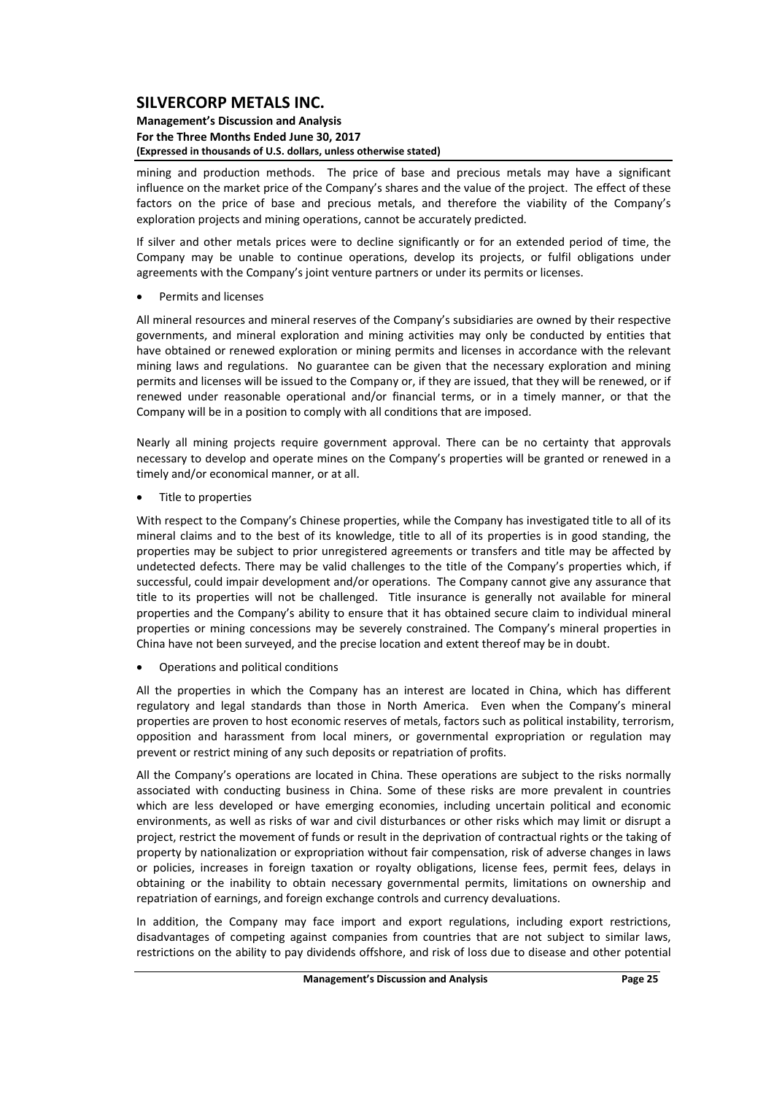#### **Management's Discussion and Analysis For the Three Months Ended June 30, 2017 (Expressed in thousands of U.S. dollars, unless otherwise stated)**

mining and production methods. The price of base and precious metals may have a significant influence on the market price of the Company's shares and the value of the project. The effect of these factors on the price of base and precious metals, and therefore the viability of the Company's exploration projects and mining operations, cannot be accurately predicted.

If silver and other metals prices were to decline significantly or for an extended period of time, the Company may be unable to continue operations, develop its projects, or fulfil obligations under agreements with the Company's joint venture partners or under its permits or licenses.

Permits and licenses

All mineral resources and mineral reserves of the Company's subsidiaries are owned by their respective governments, and mineral exploration and mining activities may only be conducted by entities that have obtained or renewed exploration or mining permits and licenses in accordance with the relevant mining laws and regulations. No guarantee can be given that the necessary exploration and mining permits and licenses will be issued to the Company or, if they are issued, that they will be renewed, or if renewed under reasonable operational and/or financial terms, or in a timely manner, or that the Company will be in a position to comply with all conditions that are imposed.

Nearly all mining projects require government approval. There can be no certainty that approvals necessary to develop and operate mines on the Company's properties will be granted or renewed in a timely and/or economical manner, or at all.

• Title to properties

With respect to the Company's Chinese properties, while the Company has investigated title to all of its mineral claims and to the best of its knowledge, title to all of its properties is in good standing, the properties may be subject to prior unregistered agreements or transfers and title may be affected by undetected defects. There may be valid challenges to the title of the Company's properties which, if successful, could impair development and/or operations. The Company cannot give any assurance that title to its properties will not be challenged. Title insurance is generally not available for mineral properties and the Company's ability to ensure that it has obtained secure claim to individual mineral properties or mining concessions may be severely constrained. The Company's mineral properties in China have not been surveyed, and the precise location and extent thereof may be in doubt.

Operations and political conditions

All the properties in which the Company has an interest are located in China, which has different regulatory and legal standards than those in North America. Even when the Company's mineral properties are proven to host economic reserves of metals, factors such as political instability, terrorism, opposition and harassment from local miners, or governmental expropriation or regulation may prevent or restrict mining of any such deposits or repatriation of profits.

All the Company's operations are located in China. These operations are subject to the risks normally associated with conducting business in China. Some of these risks are more prevalent in countries which are less developed or have emerging economies, including uncertain political and economic environments, as well as risks of war and civil disturbances or other risks which may limit or disrupt a project, restrict the movement of funds or result in the deprivation of contractual rights or the taking of property by nationalization or expropriation without fair compensation, risk of adverse changes in laws or policies, increases in foreign taxation or royalty obligations, license fees, permit fees, delays in obtaining or the inability to obtain necessary governmental permits, limitations on ownership and repatriation of earnings, and foreign exchange controls and currency devaluations.

In addition, the Company may face import and export regulations, including export restrictions, disadvantages of competing against companies from countries that are not subject to similar laws, restrictions on the ability to pay dividends offshore, and risk of loss due to disease and other potential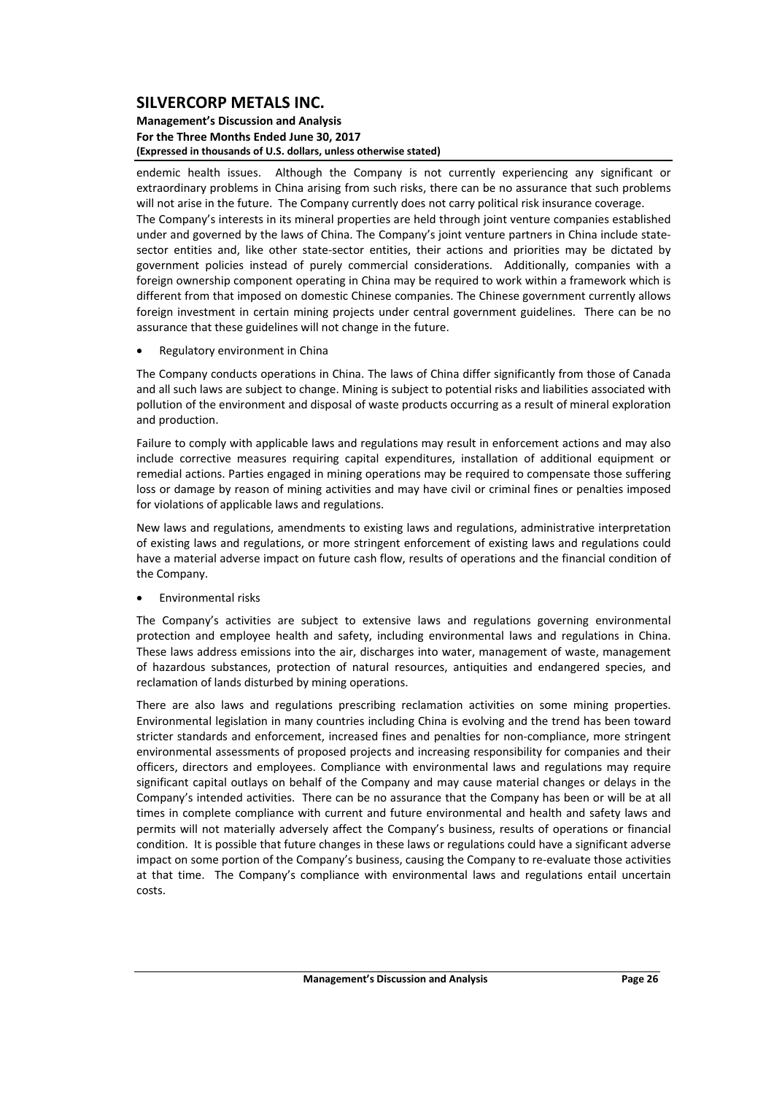#### **Management's Discussion and Analysis For the Three Months Ended June 30, 2017 (Expressed in thousands of U.S. dollars, unless otherwise stated)**

endemic health issues. Although the Company is not currently experiencing any significant or extraordinary problems in China arising from such risks, there can be no assurance that such problems will not arise in the future. The Company currently does not carry political risk insurance coverage. The Company's interests in its mineral properties are held through joint venture companies established under and governed by the laws of China. The Company's joint venture partners in China include statesector entities and, like other state-sector entities, their actions and priorities may be dictated by government policies instead of purely commercial considerations. Additionally, companies with a foreign ownership component operating in China may be required to work within a framework which is different from that imposed on domestic Chinese companies. The Chinese government currently allows foreign investment in certain mining projects under central government guidelines. There can be no assurance that these guidelines will not change in the future.

Regulatory environment in China

The Company conducts operations in China. The laws of China differ significantly from those of Canada and all such laws are subject to change. Mining is subject to potential risks and liabilities associated with pollution of the environment and disposal of waste products occurring as a result of mineral exploration and production.

Failure to comply with applicable laws and regulations may result in enforcement actions and may also include corrective measures requiring capital expenditures, installation of additional equipment or remedial actions. Parties engaged in mining operations may be required to compensate those suffering loss or damage by reason of mining activities and may have civil or criminal fines or penalties imposed for violations of applicable laws and regulations.

New laws and regulations, amendments to existing laws and regulations, administrative interpretation of existing laws and regulations, or more stringent enforcement of existing laws and regulations could have a material adverse impact on future cash flow, results of operations and the financial condition of the Company.

Environmental risks

The Company's activities are subject to extensive laws and regulations governing environmental protection and employee health and safety, including environmental laws and regulations in China. These laws address emissions into the air, discharges into water, management of waste, management of hazardous substances, protection of natural resources, antiquities and endangered species, and reclamation of lands disturbed by mining operations.

There are also laws and regulations prescribing reclamation activities on some mining properties. Environmental legislation in many countries including China is evolving and the trend has been toward stricter standards and enforcement, increased fines and penalties for non‐compliance, more stringent environmental assessments of proposed projects and increasing responsibility for companies and their officers, directors and employees. Compliance with environmental laws and regulations may require significant capital outlays on behalf of the Company and may cause material changes or delays in the Company's intended activities. There can be no assurance that the Company has been or will be at all times in complete compliance with current and future environmental and health and safety laws and permits will not materially adversely affect the Company's business, results of operations or financial condition. It is possible that future changes in these laws or regulations could have a significant adverse impact on some portion of the Company's business, causing the Company to re‐evaluate those activities at that time. The Company's compliance with environmental laws and regulations entail uncertain costs.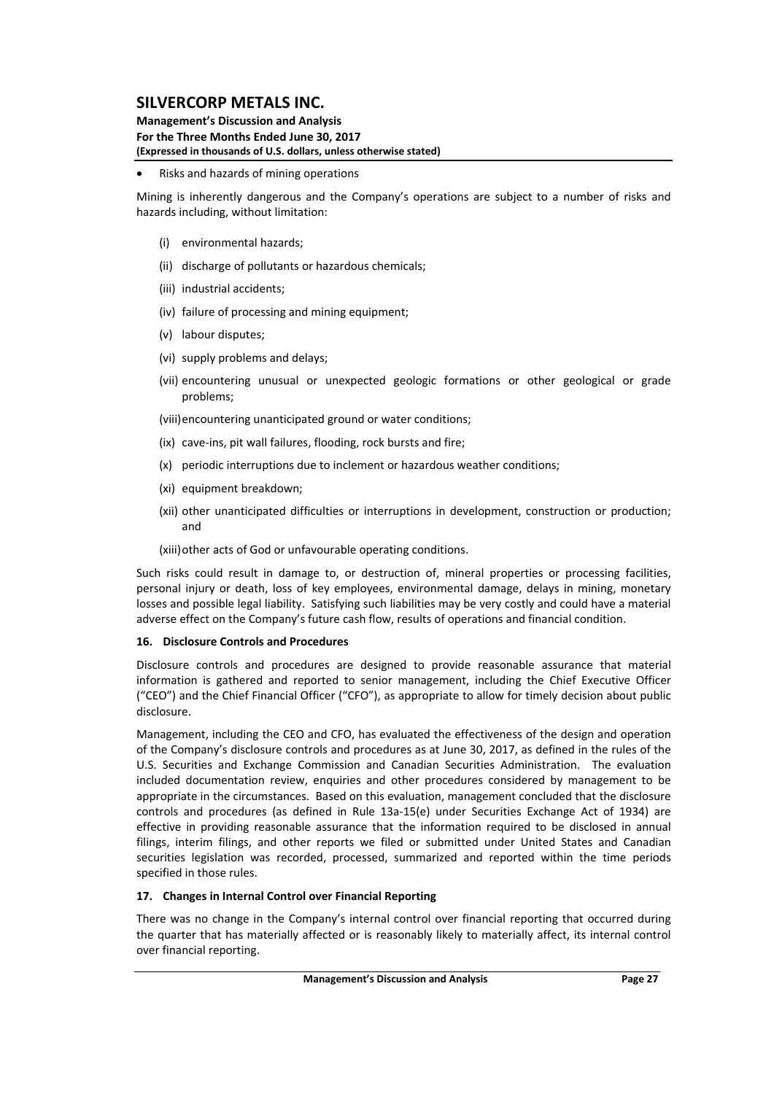#### **Management's Discussion and Analysis For the Three Months Ended June 30, 2017 (Expressed in thousands of U.S. dollars, unless otherwise stated)**

#### Risks and hazards of mining operations

Mining is inherently dangerous and the Company's operations are subject to a number of risks and hazards including, without limitation:

- (i) environmental hazards;
- (ii) discharge of pollutants or hazardous chemicals;
- (iii) industrial accidents;
- (iv) failure of processing and mining equipment;
- (v) labour disputes;
- (vi) supply problems and delays;
- (vii) encountering unusual or unexpected geologic formations or other geological or grade problems;

(viii)encountering unanticipated ground or water conditions;

- (ix) cave‐ins, pit wall failures, flooding, rock bursts and fire;
- (x) periodic interruptions due to inclement or hazardous weather conditions;
- (xi) equipment breakdown;
- (xii) other unanticipated difficulties or interruptions in development, construction or production; and

(xiii)other acts of God or unfavourable operating conditions.

Such risks could result in damage to, or destruction of, mineral properties or processing facilities, personal injury or death, loss of key employees, environmental damage, delays in mining, monetary losses and possible legal liability. Satisfying such liabilities may be very costly and could have a material adverse effect on the Company's future cash flow, results of operations and financial condition.

#### **16. Disclosure Controls and Procedures**

Disclosure controls and procedures are designed to provide reasonable assurance that material information is gathered and reported to senior management, including the Chief Executive Officer ("CEO") and the Chief Financial Officer ("CFO"), as appropriate to allow for timely decision about public disclosure.

Management, including the CEO and CFO, has evaluated the effectiveness of the design and operation of the Company's disclosure controls and procedures as at June 30, 2017, as defined in the rules of the U.S. Securities and Exchange Commission and Canadian Securities Administration. The evaluation included documentation review, enquiries and other procedures considered by management to be appropriate in the circumstances. Based on this evaluation, management concluded that the disclosure controls and procedures (as defined in Rule 13a‐15(e) under Securities Exchange Act of 1934) are effective in providing reasonable assurance that the information required to be disclosed in annual filings, interim filings, and other reports we filed or submitted under United States and Canadian securities legislation was recorded, processed, summarized and reported within the time periods specified in those rules.

## **17. Changes in Internal Control over Financial Reporting**

There was no change in the Company's internal control over financial reporting that occurred during the quarter that has materially affected or is reasonably likely to materially affect, its internal control over financial reporting.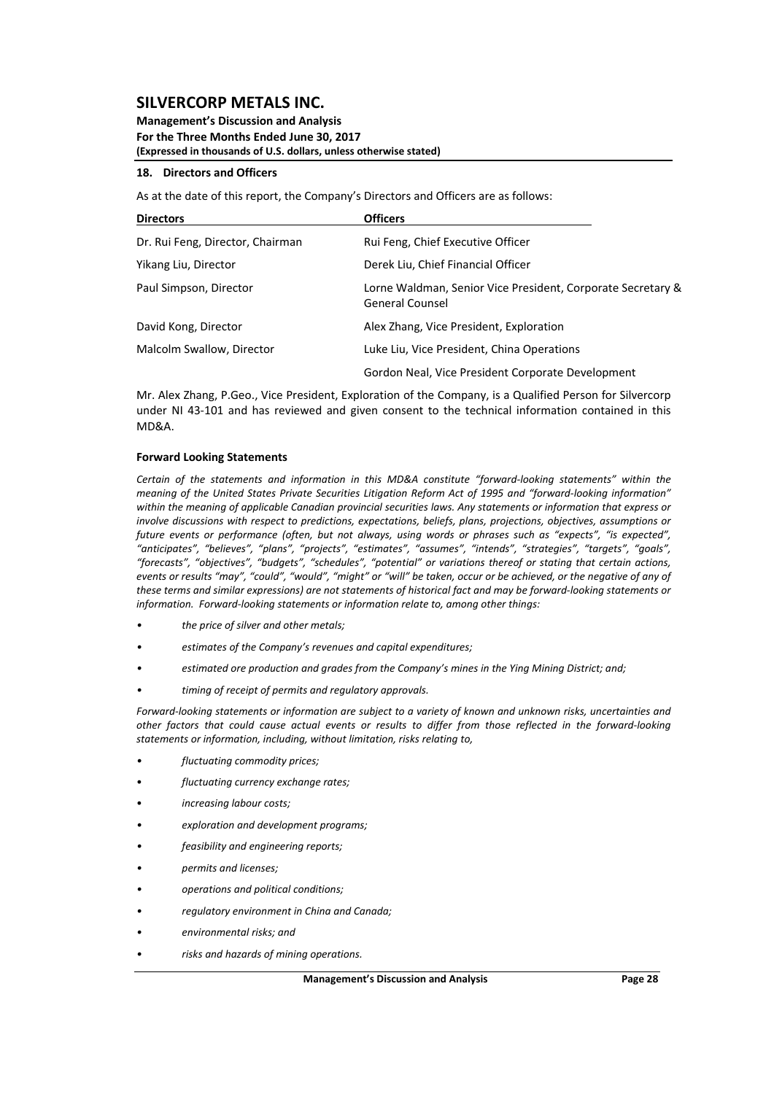#### **Management's Discussion and Analysis For the Three Months Ended June 30, 2017 (Expressed in thousands of U.S. dollars, unless otherwise stated)**

#### **18. Directors and Officers**

As at the date of this report, the Company's Directors and Officers are as follows:

| <b>Directors</b>                 | <b>Officers</b>                                                                       |
|----------------------------------|---------------------------------------------------------------------------------------|
| Dr. Rui Feng, Director, Chairman | Rui Feng, Chief Executive Officer                                                     |
| Yikang Liu, Director             | Derek Liu, Chief Financial Officer                                                    |
| Paul Simpson, Director           | Lorne Waldman, Senior Vice President, Corporate Secretary &<br><b>General Counsel</b> |
| David Kong, Director             | Alex Zhang, Vice President, Exploration                                               |
| Malcolm Swallow, Director        | Luke Liu, Vice President, China Operations                                            |
|                                  | Gordon Neal, Vice President Corporate Development                                     |

Mr. Alex Zhang, P.Geo., Vice President, Exploration of the Company, is a Qualified Person for Silvercorp under NI 43-101 and has reviewed and given consent to the technical information contained in this MD&A.

#### **Forward Looking Statements**

*Certain of the statements and information in this MD&A constitute "forward‐looking statements" within the* meaning of the United States Private Securities Litigation Reform Act of 1995 and "forward-looking information" within the meaning of applicable Canadian provincial securities laws. Any statements or information that express or *involve discussions with respect to predictions, expectations, beliefs, plans, projections, objectives, assumptions or* future events or performance (often, but not always, using words or phrases such as "expects", "is expected", *"anticipates", "believes", "plans", "projects", "estimates", "assumes", "intends", "strategies", "targets", "goals", "forecasts", "objectives", "budgets", "schedules", "potential" or variations thereof or stating that certain actions,* events or results "may", "could", "would", "might" or "will" be taken, occur or be achieved, or the negative of any of these terms and similar expressions) are not statements of historical fact and may be forward-looking statements or *information. Forward‐looking statements or information relate to, among other things:*

- *• the price of silver and other metals;*
- *• estimates of the Company's revenues and capital expenditures;*
- *• estimated ore production and grades from the Company's mines in the Ying Mining District; and;*
- *• timing of receipt of permits and regulatory approvals.*

Forward-looking statements or information are subject to a variety of known and unknown risks, uncertainties and other factors that could cause actual events or results to differ from those reflected in the forward-looking *statements or information, including, without limitation, risks relating to,* 

- *• fluctuating commodity prices;*
- *fluctuating currency exchange rates;*
- *increasing labour costs;*
- *• exploration and development programs;*
- *• feasibility and engineering reports;*
- *• permits and licenses;*
- *• operations and political conditions;*
- *• regulatory environment in China and Canada;*
- *• environmental risks; and*
- *• risks and hazards of mining operations.*